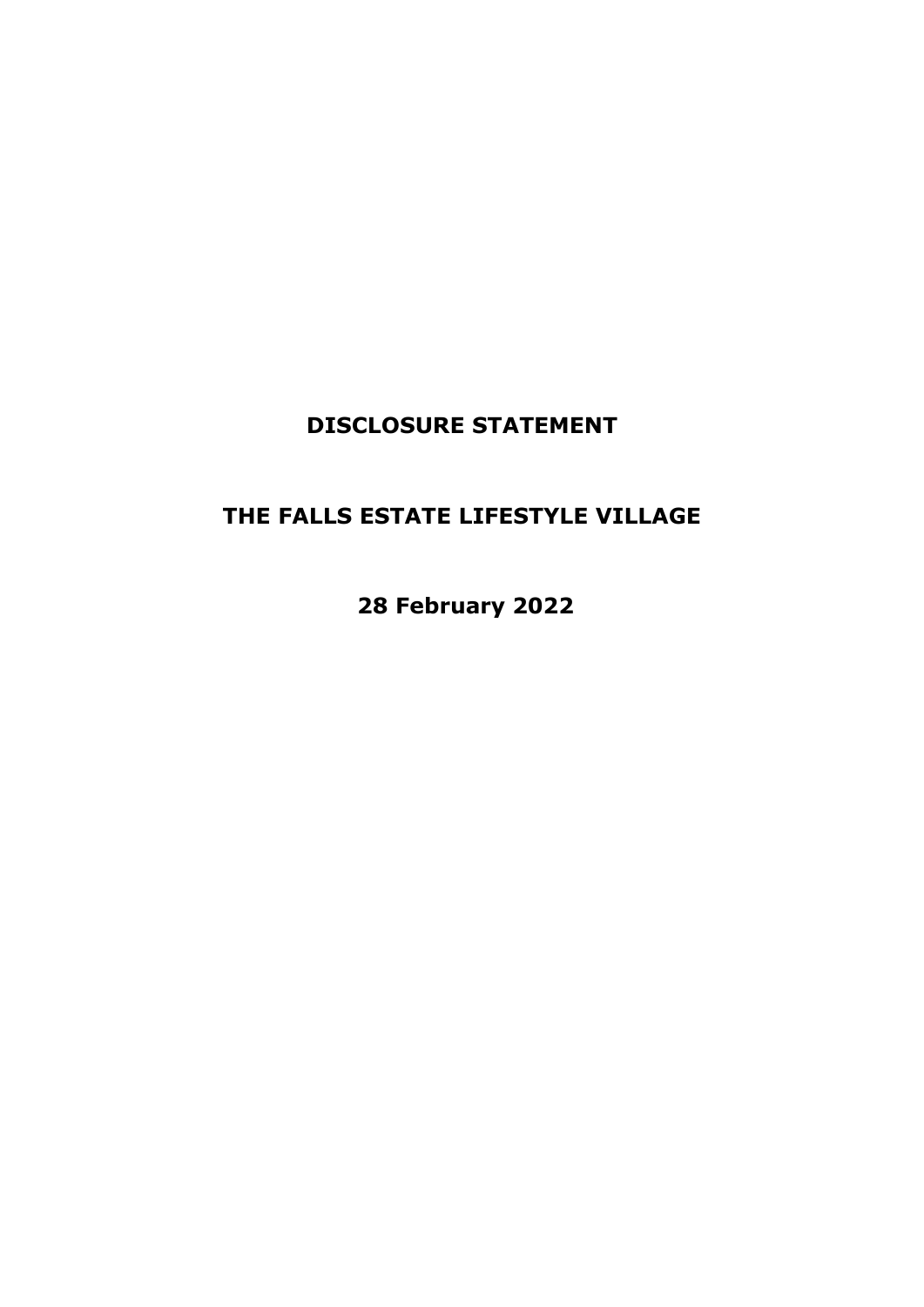# **DISCLOSURE STATEMENT**

# **THE FALLS ESTATE LIFESTYLE VILLAGE**

**28 February 2022**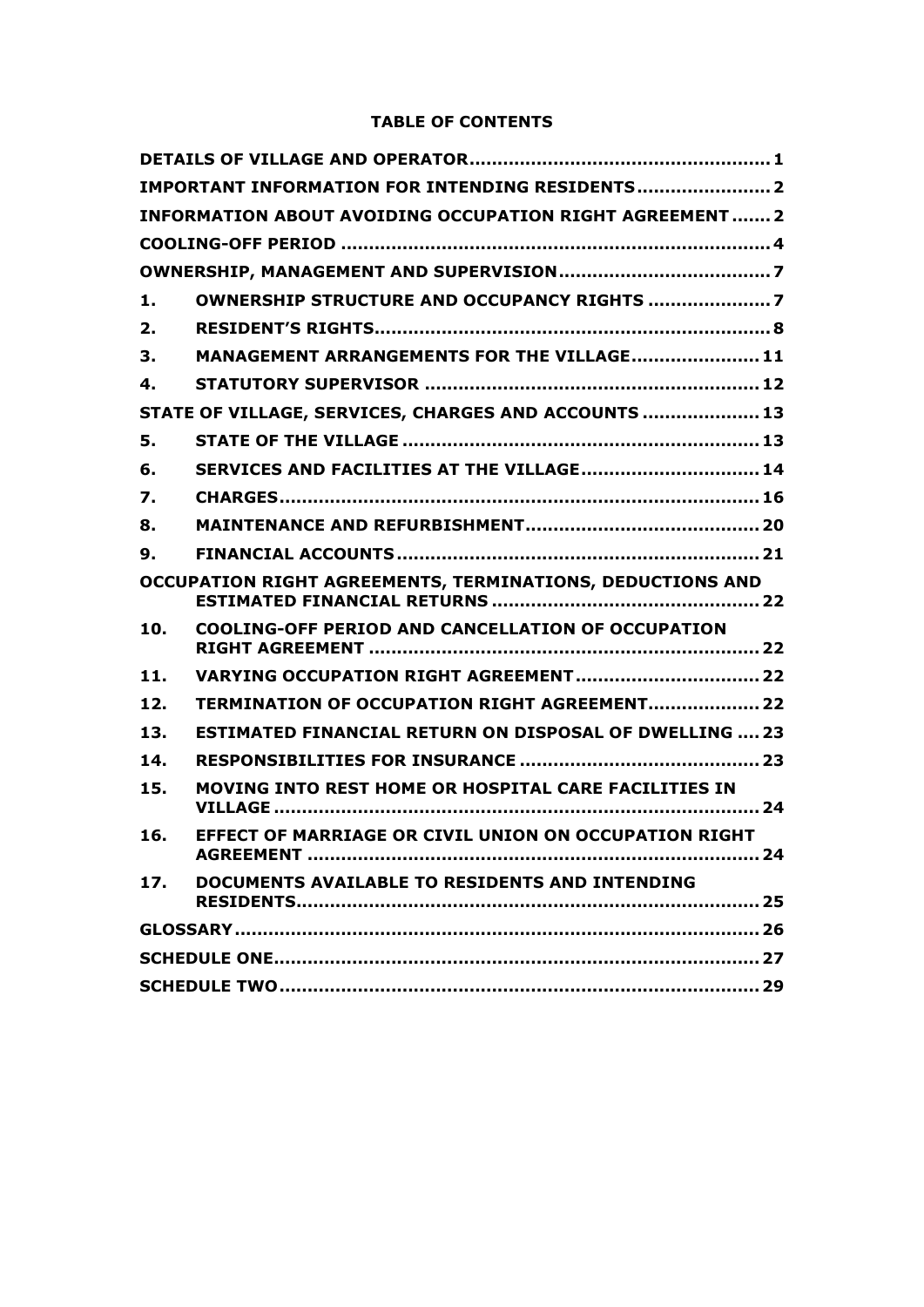# **TABLE OF CONTENTS**

|     | IMPORTANT INFORMATION FOR INTENDING RESIDENTS 2                 |  |
|-----|-----------------------------------------------------------------|--|
|     | <b>INFORMATION ABOUT AVOIDING OCCUPATION RIGHT AGREEMENT  2</b> |  |
|     |                                                                 |  |
|     |                                                                 |  |
| 1.  | OWNERSHIP STRUCTURE AND OCCUPANCY RIGHTS 7                      |  |
| 2.  |                                                                 |  |
| 3.  | MANAGEMENT ARRANGEMENTS FOR THE VILLAGE 11                      |  |
| 4.  |                                                                 |  |
|     | STATE OF VILLAGE, SERVICES, CHARGES AND ACCOUNTS  13            |  |
| 5.  |                                                                 |  |
| 6.  | SERVICES AND FACILITIES AT THE VILLAGE 14                       |  |
| 7.  |                                                                 |  |
| 8.  |                                                                 |  |
| 9.  |                                                                 |  |
|     | OCCUPATION RIGHT AGREEMENTS, TERMINATIONS, DEDUCTIONS AND       |  |
| 10. | <b>COOLING-OFF PERIOD AND CANCELLATION OF OCCUPATION</b>        |  |
| 11. |                                                                 |  |
| 12. | TERMINATION OF OCCUPATION RIGHT AGREEMENT 22                    |  |
| 13. | <b>ESTIMATED FINANCIAL RETURN ON DISPOSAL OF DWELLING  23</b>   |  |
| 14. |                                                                 |  |
| 15. | MOVING INTO REST HOME OR HOSPITAL CARE FACILITIES IN            |  |
| 16. | EFFECT OF MARRIAGE OR CIVIL UNION ON OCCUPATION RIGHT           |  |
| 17. | DOCUMENTS AVAILABLE TO RESIDENTS AND INTENDING                  |  |
|     |                                                                 |  |
|     |                                                                 |  |
|     |                                                                 |  |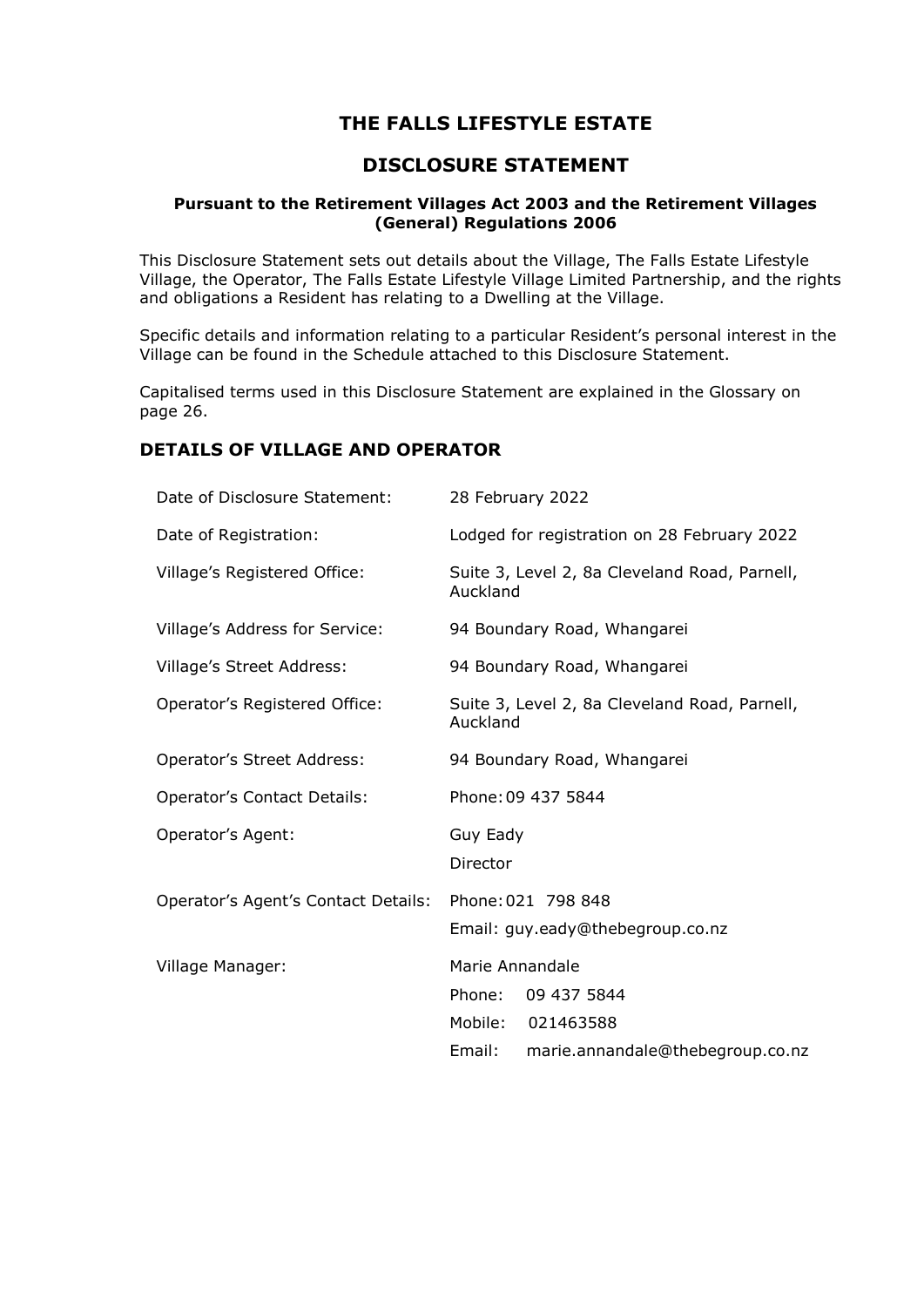# **THE FALLS LIFESTYLE ESTATE**

# **DISCLOSURE STATEMENT**

# **Pursuant to the Retirement Villages Act 2003 and the Retirement Villages (General) Regulations 2006**

This Disclosure Statement sets out details about the Village, The Falls Estate Lifestyle Village, the Operator, The Falls Estate Lifestyle Village Limited Partnership, and the rights and obligations a Resident has relating to a Dwelling at the Village.

Specific details and information relating to a particular Resident's personal interest in the Village can be found in the Schedule attached to this Disclosure Statement.

Capitalised terms used in this Disclosure Statement are explained in the Glossary on page [26.](#page-27-0)

# **DETAILS OF VILLAGE AND OPERATOR**

| Date of Disclosure Statement:       | 28 February 2022                                                 |  |
|-------------------------------------|------------------------------------------------------------------|--|
| Date of Registration:               | Lodged for registration on 28 February 2022                      |  |
| Village's Registered Office:        | Suite 3, Level 2, 8a Cleveland Road, Parnell,<br>Auckland        |  |
| Village's Address for Service:      | 94 Boundary Road, Whangarei                                      |  |
| Village's Street Address:           | 94 Boundary Road, Whangarei                                      |  |
| Operator's Registered Office:       | Suite 3, Level 2, 8a Cleveland Road, Parnell,<br>Auckland        |  |
| Operator's Street Address:          | 94 Boundary Road, Whangarei                                      |  |
| <b>Operator's Contact Details:</b>  | Phone: 09 437 5844                                               |  |
| Operator's Agent:                   | Guy Eady<br>Director                                             |  |
| Operator's Agent's Contact Details: | Phone: 021 798 848<br>Email: guy.eady@thebegroup.co.nz           |  |
| Village Manager:                    | Marie Annandale<br>09 437 5844<br>Phone:<br>Mobile:<br>021463588 |  |
|                                     | Email:<br>marie.annandale@thebegroup.co.nz                       |  |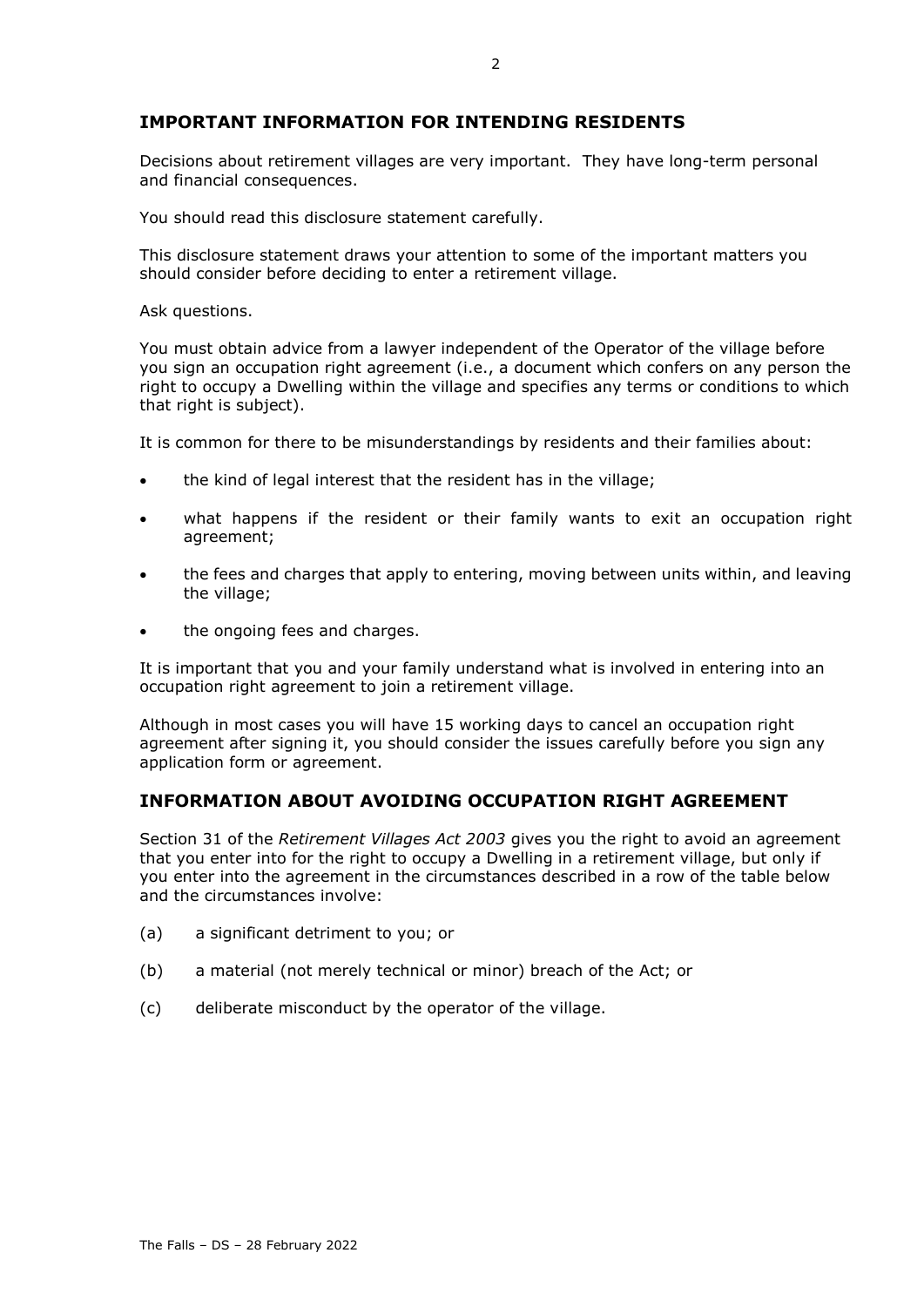# **IMPORTANT INFORMATION FOR INTENDING RESIDENTS**

Decisions about retirement villages are very important. They have long-term personal and financial consequences.

You should read this disclosure statement carefully.

This disclosure statement draws your attention to some of the important matters you should consider before deciding to enter a retirement village.

Ask questions.

You must obtain advice from a lawyer independent of the Operator of the village before you sign an occupation right agreement (i.e., a document which confers on any person the right to occupy a Dwelling within the village and specifies any terms or conditions to which that right is subject).

It is common for there to be misunderstandings by residents and their families about:

- the kind of legal interest that the resident has in the village;
- what happens if the resident or their family wants to exit an occupation right agreement;
- the fees and charges that apply to entering, moving between units within, and leaving the village;
- the ongoing fees and charges.

It is important that you and your family understand what is involved in entering into an occupation right agreement to join a retirement village.

Although in most cases you will have 15 working days to cancel an occupation right agreement after signing it, you should consider the issues carefully before you sign any application form or agreement.

# **INFORMATION ABOUT AVOIDING OCCUPATION RIGHT AGREEMENT**

Section 31 of the *Retirement Villages Act 2003* gives you the right to avoid an agreement that you enter into for the right to occupy a Dwelling in a retirement village, but only if you enter into the agreement in the circumstances described in a row of the table below and the circumstances involve:

- (a) a significant detriment to you; or
- (b) a material (not merely technical or minor) breach of the Act; or
- (c) deliberate misconduct by the operator of the village.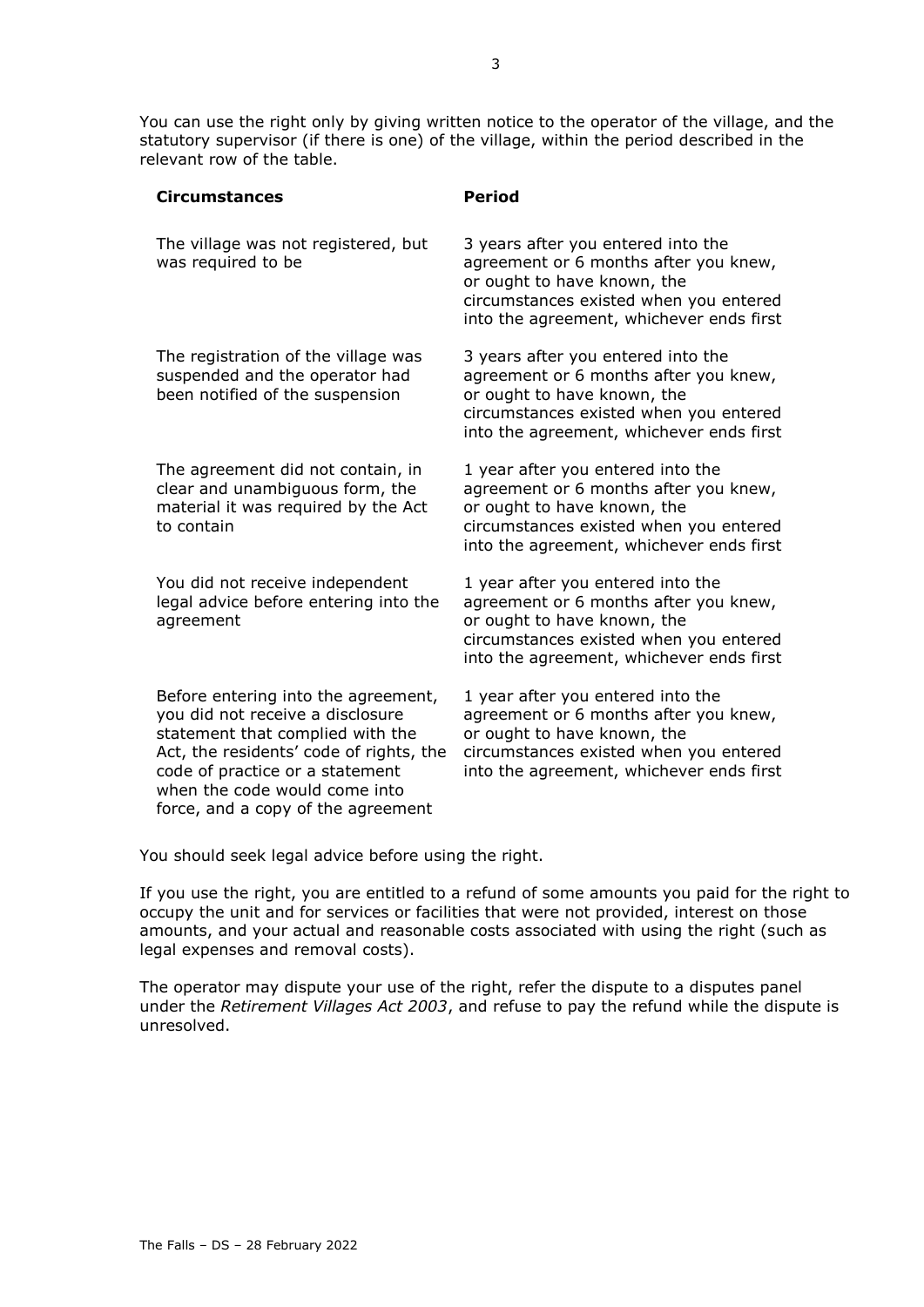You can use the right only by giving written notice to the operator of the village, and the statutory supervisor (if there is one) of the village, within the period described in the relevant row of the table.

| <b>Circumstances</b>                                                                                                                                                                                                                                             | <b>Period</b>                                                                                                                                                                                    |
|------------------------------------------------------------------------------------------------------------------------------------------------------------------------------------------------------------------------------------------------------------------|--------------------------------------------------------------------------------------------------------------------------------------------------------------------------------------------------|
| The village was not registered, but<br>was required to be                                                                                                                                                                                                        | 3 years after you entered into the<br>agreement or 6 months after you knew,<br>or ought to have known, the<br>circumstances existed when you entered<br>into the agreement, whichever ends first |
| The registration of the village was<br>suspended and the operator had<br>been notified of the suspension                                                                                                                                                         | 3 years after you entered into the<br>agreement or 6 months after you knew,<br>or ought to have known, the<br>circumstances existed when you entered<br>into the agreement, whichever ends first |
| The agreement did not contain, in<br>clear and unambiguous form, the<br>material it was required by the Act<br>to contain                                                                                                                                        | 1 year after you entered into the<br>agreement or 6 months after you knew,<br>or ought to have known, the<br>circumstances existed when you entered<br>into the agreement, whichever ends first  |
| You did not receive independent<br>legal advice before entering into the<br>agreement                                                                                                                                                                            | 1 year after you entered into the<br>agreement or 6 months after you knew,<br>or ought to have known, the<br>circumstances existed when you entered<br>into the agreement, whichever ends first  |
| Before entering into the agreement,<br>you did not receive a disclosure<br>statement that complied with the<br>Act, the residents' code of rights, the<br>code of practice or a statement<br>when the code would come into<br>force, and a copy of the agreement | 1 year after you entered into the<br>agreement or 6 months after you knew,<br>or ought to have known, the<br>circumstances existed when you entered<br>into the agreement, whichever ends first  |

You should seek legal advice before using the right.

If you use the right, you are entitled to a refund of some amounts you paid for the right to occupy the unit and for services or facilities that were not provided, interest on those amounts, and your actual and reasonable costs associated with using the right (such as legal expenses and removal costs).

The operator may dispute your use of the right, refer the dispute to a disputes panel under the *Retirement Villages Act 2003*, and refuse to pay the refund while the dispute is unresolved.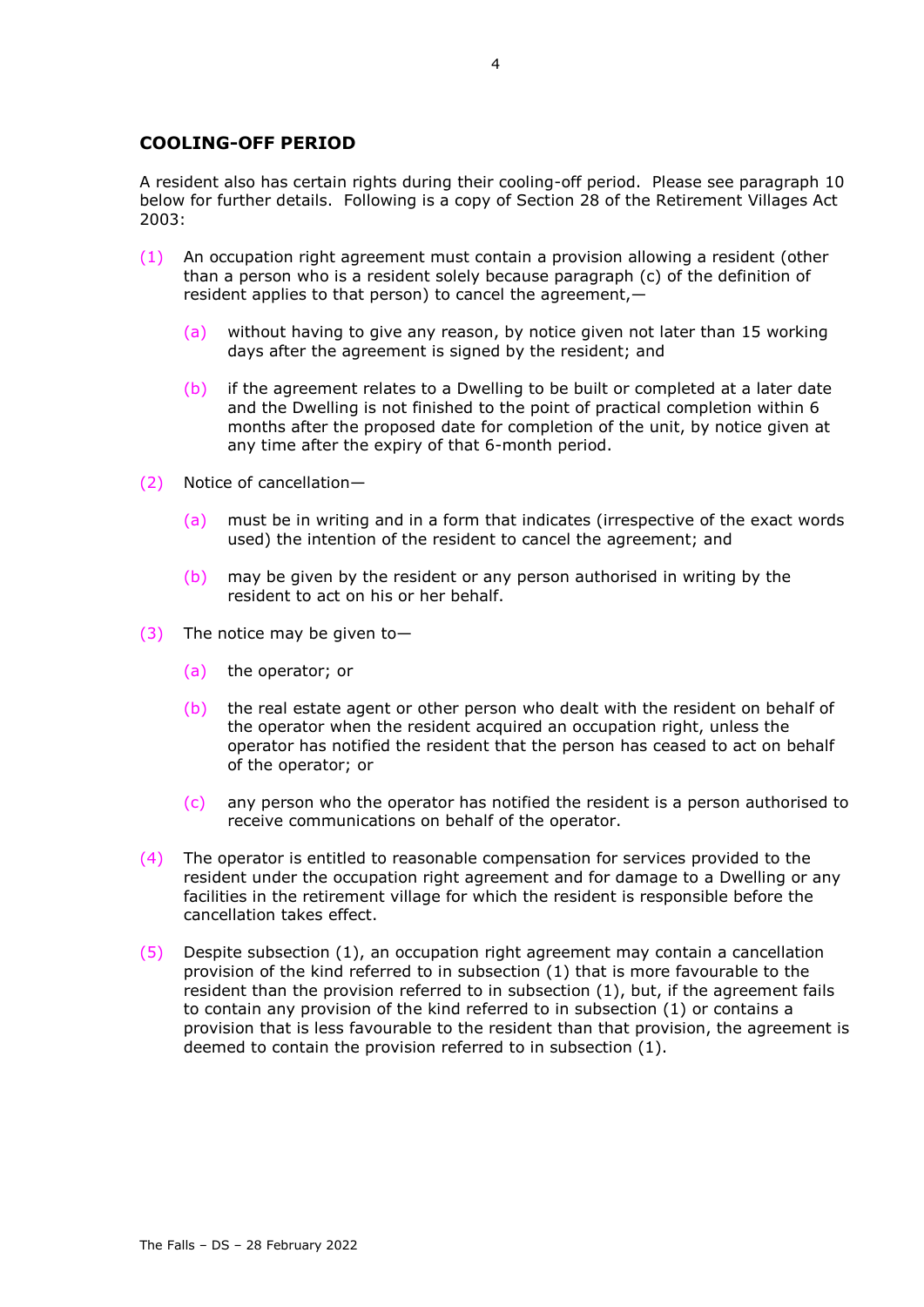# **COOLING-OFF PERIOD**

A resident also has certain rights during their cooling-off period. Please see paragraph [10](#page-23-0) below for further details. Following is a copy of Section 28 of the Retirement Villages Act 2003:

- <span id="page-5-0"></span>(1) An occupation right agreement must contain a provision allowing a resident (other than a person who is a resident solely because paragraph (c) of the definition of resident applies to that person) to cancel the agreement,—
	- (a) without having to give any reason, by notice given not later than 15 working days after the agreement is signed by the resident; and
	- (b) if the agreement relates to a Dwelling to be built or completed at a later date and the Dwelling is not finished to the point of practical completion within 6 months after the proposed date for completion of the unit, by notice given at any time after the expiry of that 6-month period.
- (2) Notice of cancellation—
	- (a) must be in writing and in a form that indicates (irrespective of the exact words used) the intention of the resident to cancel the agreement; and
	- (b) may be given by the resident or any person authorised in writing by the resident to act on his or her behalf.
- (3) The notice may be given to—
	- (a) the operator; or
	- (b) the real estate agent or other person who dealt with the resident on behalf of the operator when the resident acquired an occupation right, unless the operator has notified the resident that the person has ceased to act on behalf of the operator; or
	- $(c)$  any person who the operator has notified the resident is a person authorised to receive communications on behalf of the operator.
- (4) The operator is entitled to reasonable compensation for services provided to the resident under the occupation right agreement and for damage to a Dwelling or any facilities in the retirement village for which the resident is responsible before the cancellation takes effect.
- (5) Despite subsection (1), an occupation right agreement may contain a cancellation provision of the kind referred to in subsection (1) that is more favourable to the resident than the provision referred to in subsection (1), but, if the agreement fails to contain any provision of the kind referred to in subsection (1) or contains a provision that is less favourable to the resident than that provision, the agreement is deemed to contain the provision referred to in subsection (1).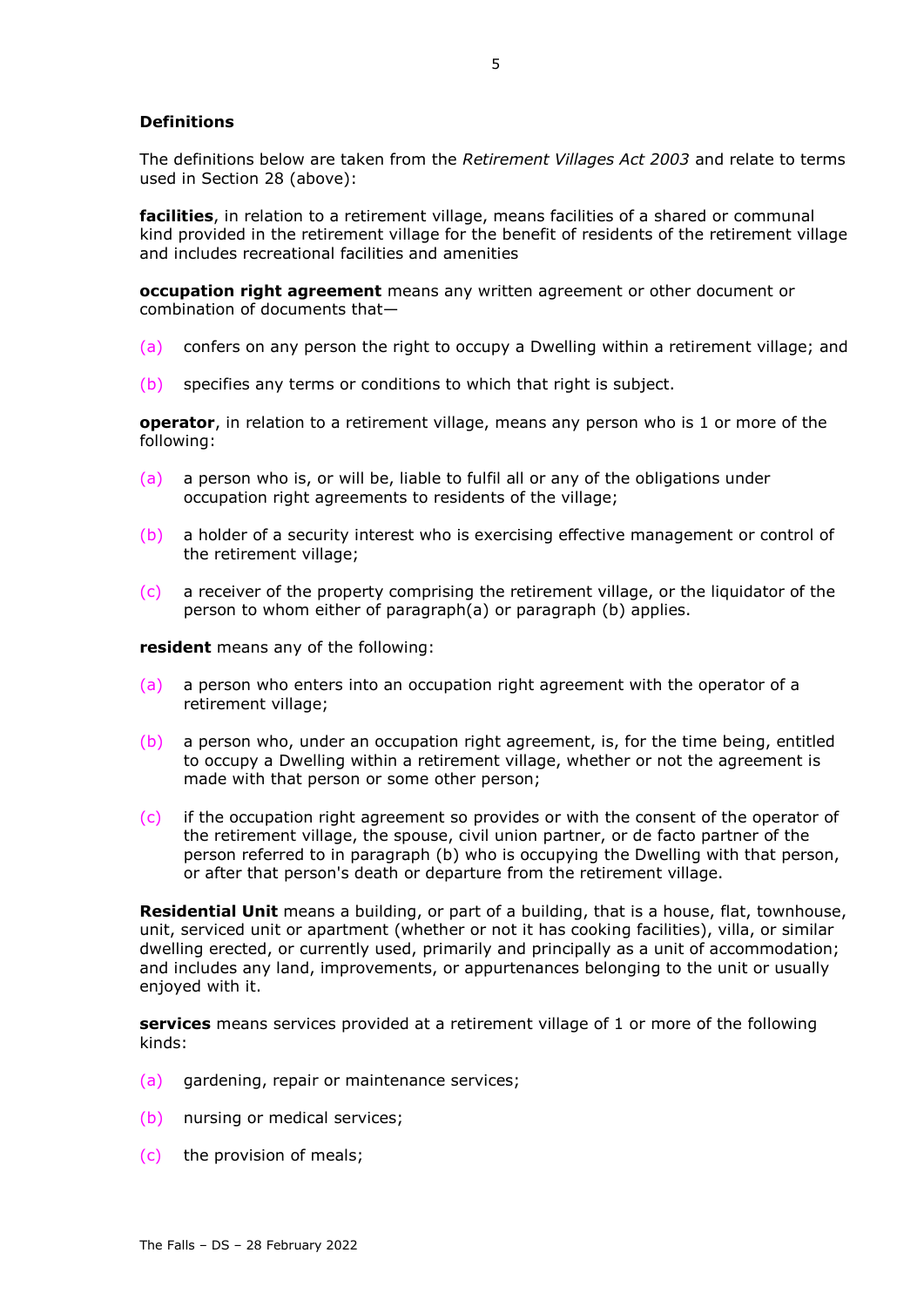# **Definitions**

The definitions below are taken from the *Retirement Villages Act 2003* and relate to terms used in Section 28 (above):

**facilities**, in relation to a retirement village, means facilities of a shared or communal kind provided in the retirement village for the benefit of residents of the retirement village and includes recreational facilities and amenities

**occupation right agreement** means any written agreement or other document or combination of documents that—

- (a) confers on any person the right to occupy a Dwelling within a retirement village; and
- (b) specifies any terms or conditions to which that right is subject.

**operator**, in relation to a retirement village, means any person who is 1 or more of the following:

- (a) a person who is, or will be, liable to fulfil all or any of the obligations under occupation right agreements to residents of the village;
- (b) a holder of a security interest who is exercising effective management or control of the retirement village;
- $(c)$  a receiver of the property comprising the retirement village, or the liquidator of the person to whom either of paragraph(a) or paragraph (b) applies.

**resident** means any of the following:

- (a) a person who enters into an occupation right agreement with the operator of a retirement village;
- (b) a person who, under an occupation right agreement, is, for the time being, entitled to occupy a Dwelling within a retirement village, whether or not the agreement is made with that person or some other person;
- (c) if the occupation right agreement so provides or with the consent of the operator of the retirement village, the spouse, civil union partner, or de facto partner of the person referred to in paragraph (b) who is occupying the Dwelling with that person, or after that person's death or departure from the retirement village.

**Residential Unit** means a building, or part of a building, that is a house, flat, townhouse, unit, serviced unit or apartment (whether or not it has cooking facilities), villa, or similar dwelling erected, or currently used, primarily and principally as a unit of accommodation; and includes any land, improvements, or appurtenances belonging to the unit or usually enjoyed with it.

**services** means services provided at a retirement village of 1 or more of the following kinds:

- (a) gardening, repair or maintenance services;
- (b) nursing or medical services;
- (c) the provision of meals;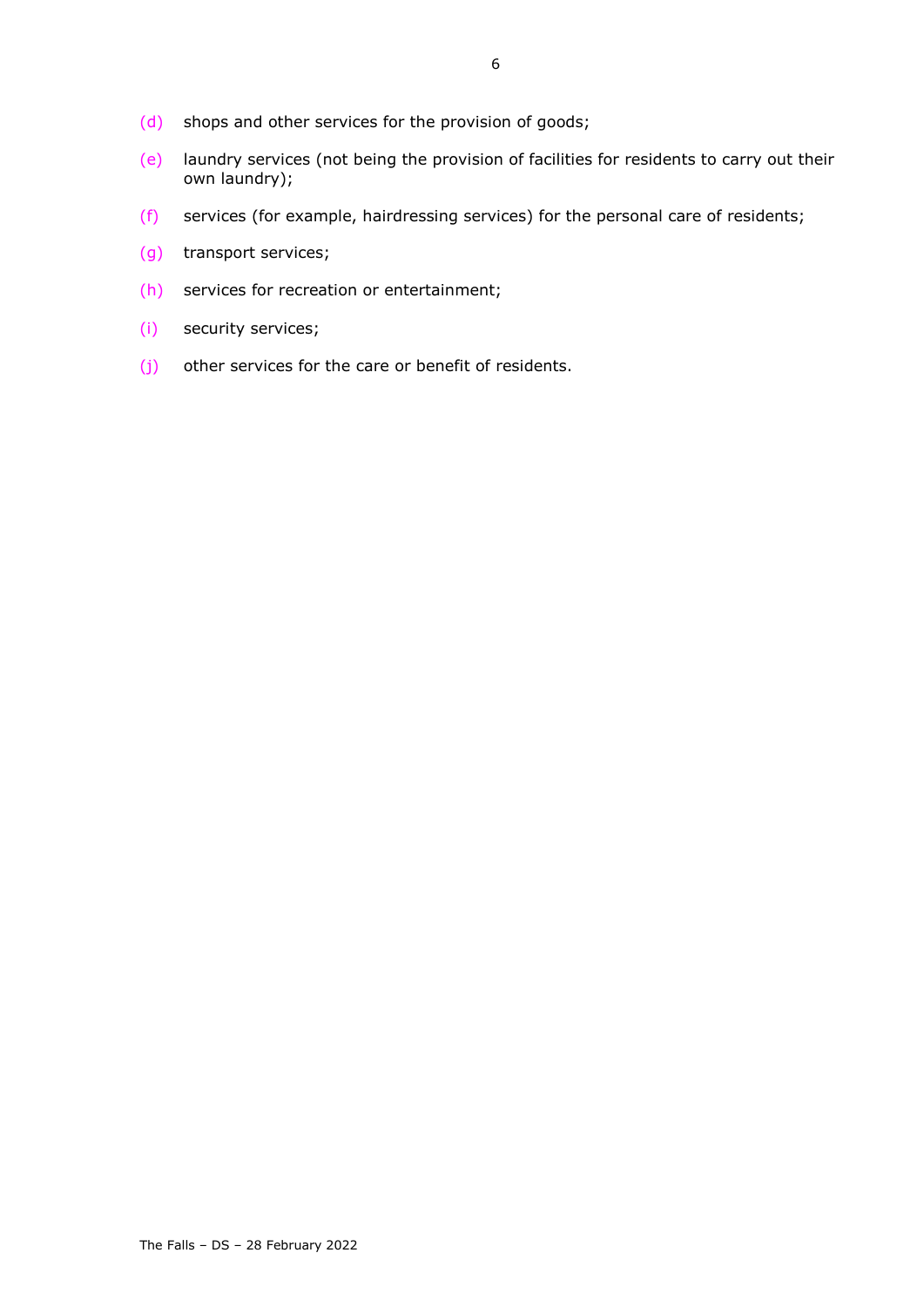- (d) shops and other services for the provision of goods;
- (e) laundry services (not being the provision of facilities for residents to carry out their own laundry);
- (f) services (for example, hairdressing services) for the personal care of residents;
- (g) transport services;
- (h) services for recreation or entertainment;
- (i) security services;
- (j) other services for the care or benefit of residents.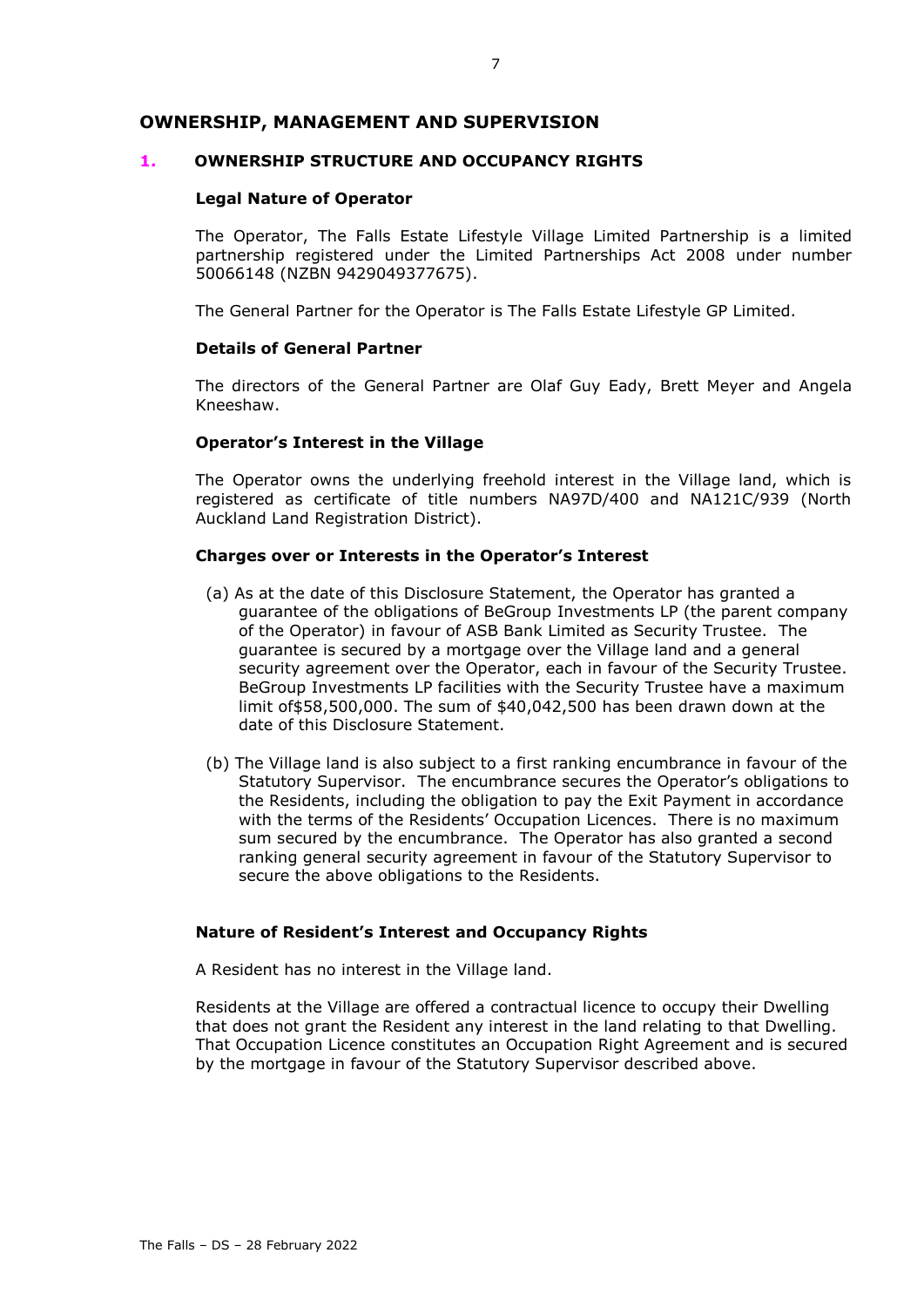# **OWNERSHIP, MANAGEMENT AND SUPERVISION**

#### **1. OWNERSHIP STRUCTURE AND OCCUPANCY RIGHTS**

#### **Legal Nature of Operator**

The Operator, The Falls Estate Lifestyle Village Limited Partnership is a limited partnership registered under the Limited Partnerships Act 2008 under number 50066148 (NZBN 9429049377675).

The General Partner for the Operator is The Falls Estate Lifestyle GP Limited.

# **Details of General Partner**

The directors of the General Partner are Olaf Guy Eady, Brett Meyer and Angela Kneeshaw.

#### **Operator's Interest in the Village**

The Operator owns the underlying freehold interest in the Village land, which is registered as certificate of title numbers NA97D/400 and NA121C/939 (North Auckland Land Registration District).

#### **Charges over or Interests in the Operator's Interest**

- (a) As at the date of this Disclosure Statement, the Operator has granted a guarantee of the obligations of BeGroup Investments LP (the parent company of the Operator) in favour of ASB Bank Limited as Security Trustee. The guarantee is secured by a mortgage over the Village land and a general security agreement over the Operator, each in favour of the Security Trustee. BeGroup Investments LP facilities with the Security Trustee have a maximum limit of\$58,500,000. The sum of \$40,042,500 has been drawn down at the date of this Disclosure Statement.
- (b) The Village land is also subject to a first ranking encumbrance in favour of the Statutory Supervisor. The encumbrance secures the Operator's obligations to the Residents, including the obligation to pay the Exit Payment in accordance with the terms of the Residents' Occupation Licences. There is no maximum sum secured by the encumbrance. The Operator has also granted a second ranking general security agreement in favour of the Statutory Supervisor to secure the above obligations to the Residents.

#### **Nature of Resident's Interest and Occupancy Rights**

A Resident has no interest in the Village land.

Residents at the Village are offered a contractual licence to occupy their Dwelling that does not grant the Resident any interest in the land relating to that Dwelling. That Occupation Licence constitutes an Occupation Right Agreement and is secured by the mortgage in favour of the Statutory Supervisor described above.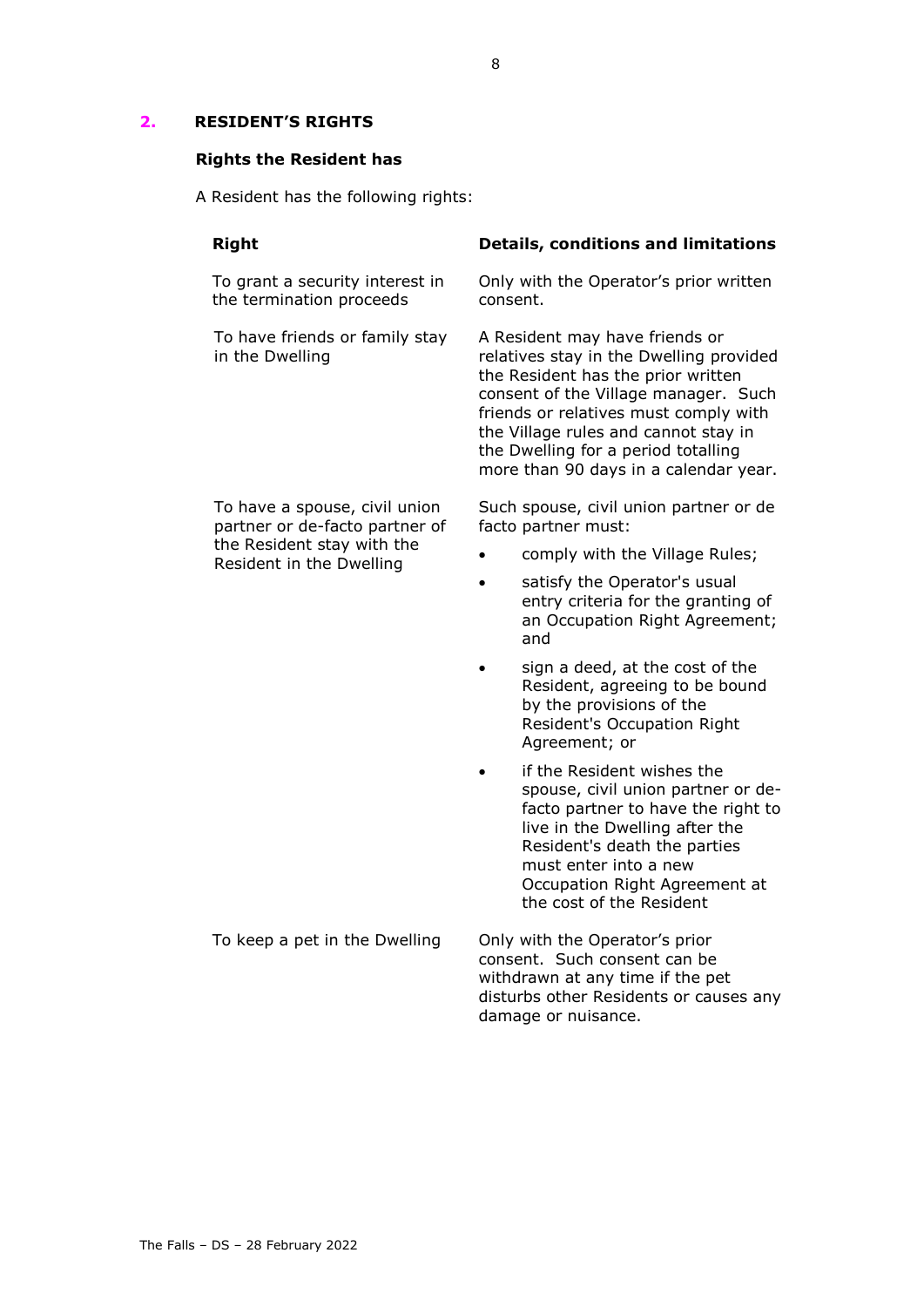# <span id="page-9-0"></span>**2. RESIDENT'S RIGHTS**

# **Rights the Resident has**

A Resident has the following rights:

| <b>Right</b>                                                    | <b>Details, conditions and limitations</b>                                                                                                                                                                                                                                                                               |  |  |
|-----------------------------------------------------------------|--------------------------------------------------------------------------------------------------------------------------------------------------------------------------------------------------------------------------------------------------------------------------------------------------------------------------|--|--|
| To grant a security interest in<br>the termination proceeds     | Only with the Operator's prior written<br>consent.                                                                                                                                                                                                                                                                       |  |  |
| To have friends or family stay<br>in the Dwelling               | A Resident may have friends or<br>relatives stay in the Dwelling provided<br>the Resident has the prior written<br>consent of the Village manager. Such<br>friends or relatives must comply with<br>the Village rules and cannot stay in<br>the Dwelling for a period totalling<br>more than 90 days in a calendar year. |  |  |
| To have a spouse, civil union<br>partner or de-facto partner of | Such spouse, civil union partner or de<br>facto partner must:                                                                                                                                                                                                                                                            |  |  |
| the Resident stay with the<br>Resident in the Dwelling          | comply with the Village Rules;                                                                                                                                                                                                                                                                                           |  |  |
|                                                                 | satisfy the Operator's usual<br>entry criteria for the granting of<br>an Occupation Right Agreement;<br>and                                                                                                                                                                                                              |  |  |
|                                                                 | sign a deed, at the cost of the<br>Resident, agreeing to be bound<br>by the provisions of the<br>Resident's Occupation Right<br>Agreement; or                                                                                                                                                                            |  |  |
|                                                                 | if the Resident wishes the<br>spouse, civil union partner or de-<br>facto partner to have the right to<br>live in the Dwelling after the<br>Resident's death the parties<br>must enter into a new<br>Occupation Right Agreement at<br>the cost of the Resident                                                           |  |  |
| To keep a pet in the Dwelling                                   | Only with the Operator's prior<br>consent. Such consent can be<br>withdrawn at any time if the pet<br>disturbs other Residents or causes any<br>damage or nuisance.                                                                                                                                                      |  |  |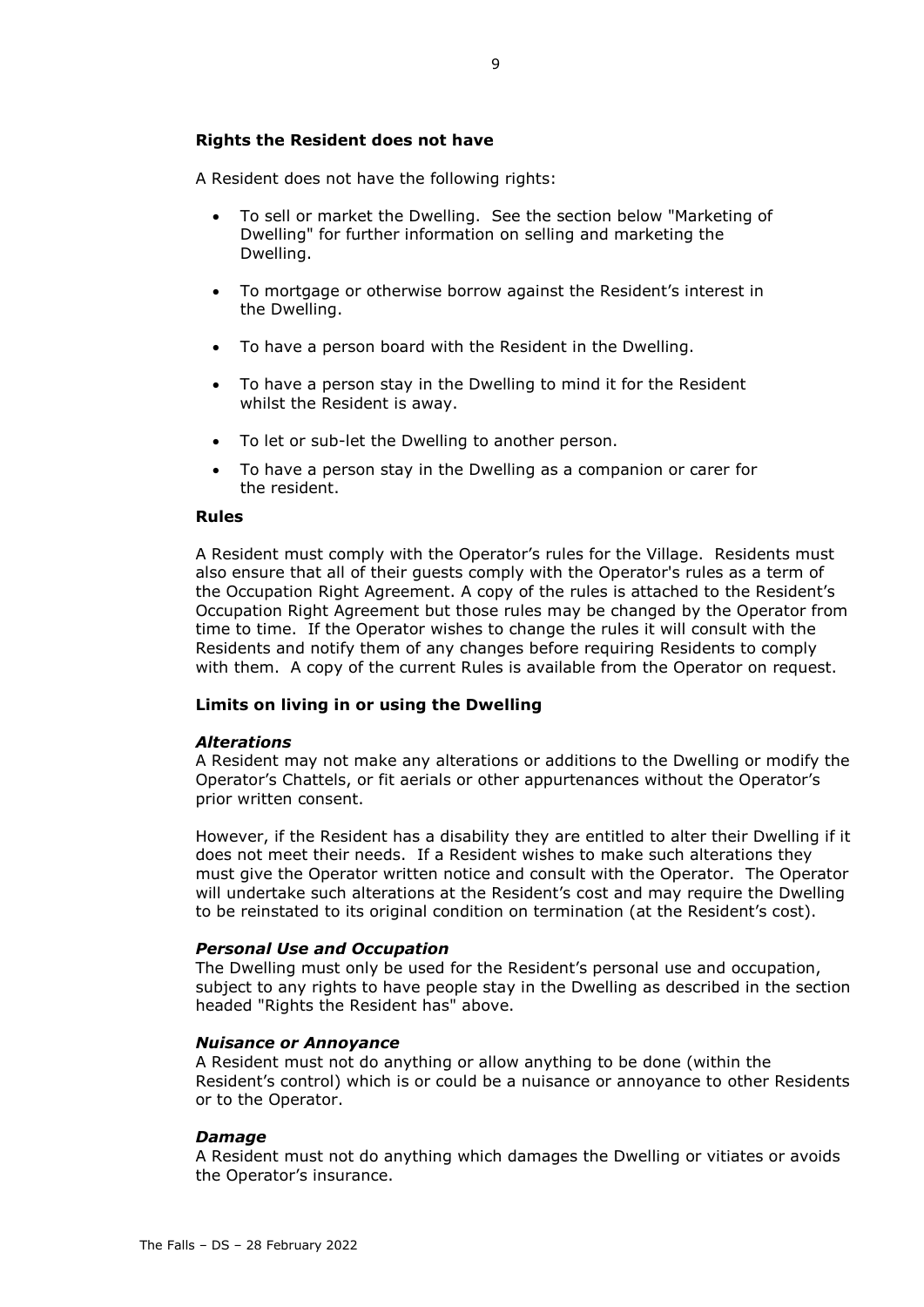# **Rights the Resident does not have**

A Resident does not have the following rights:

- To sell or market the Dwelling. See the section below "Marketing of Dwelling" for further information on selling and marketing the Dwelling.
- To mortgage or otherwise borrow against the Resident's interest in the Dwelling.
- To have a person board with the Resident in the Dwelling.
- To have a person stay in the Dwelling to mind it for the Resident whilst the Resident is away.
- To let or sub-let the Dwelling to another person.
- To have a person stay in the Dwelling as a companion or carer for the resident.

#### **Rules**

A Resident must comply with the Operator's rules for the Village. Residents must also ensure that all of their guests comply with the Operator's rules as a term of the Occupation Right Agreement. A copy of the rules is attached to the Resident's Occupation Right Agreement but those rules may be changed by the Operator from time to time. If the Operator wishes to change the rules it will consult with the Residents and notify them of any changes before requiring Residents to comply with them. A copy of the current Rules is available from the Operator on request.

# **Limits on living in or using the Dwelling**

#### *Alterations*

A Resident may not make any alterations or additions to the Dwelling or modify the Operator's Chattels, or fit aerials or other appurtenances without the Operator's prior written consent.

However, if the Resident has a disability they are entitled to alter their Dwelling if it does not meet their needs. If a Resident wishes to make such alterations they must give the Operator written notice and consult with the Operator. The Operator will undertake such alterations at the Resident's cost and may require the Dwelling to be reinstated to its original condition on termination (at the Resident's cost).

# *Personal Use and Occupation*

The Dwelling must only be used for the Resident's personal use and occupation, subject to any rights to have people stay in the Dwelling as described in the section headed "Rights the Resident has" above.

#### *Nuisance or Annoyance*

A Resident must not do anything or allow anything to be done (within the Resident's control) which is or could be a nuisance or annoyance to other Residents or to the Operator.

#### *Damage*

A Resident must not do anything which damages the Dwelling or vitiates or avoids the Operator's insurance.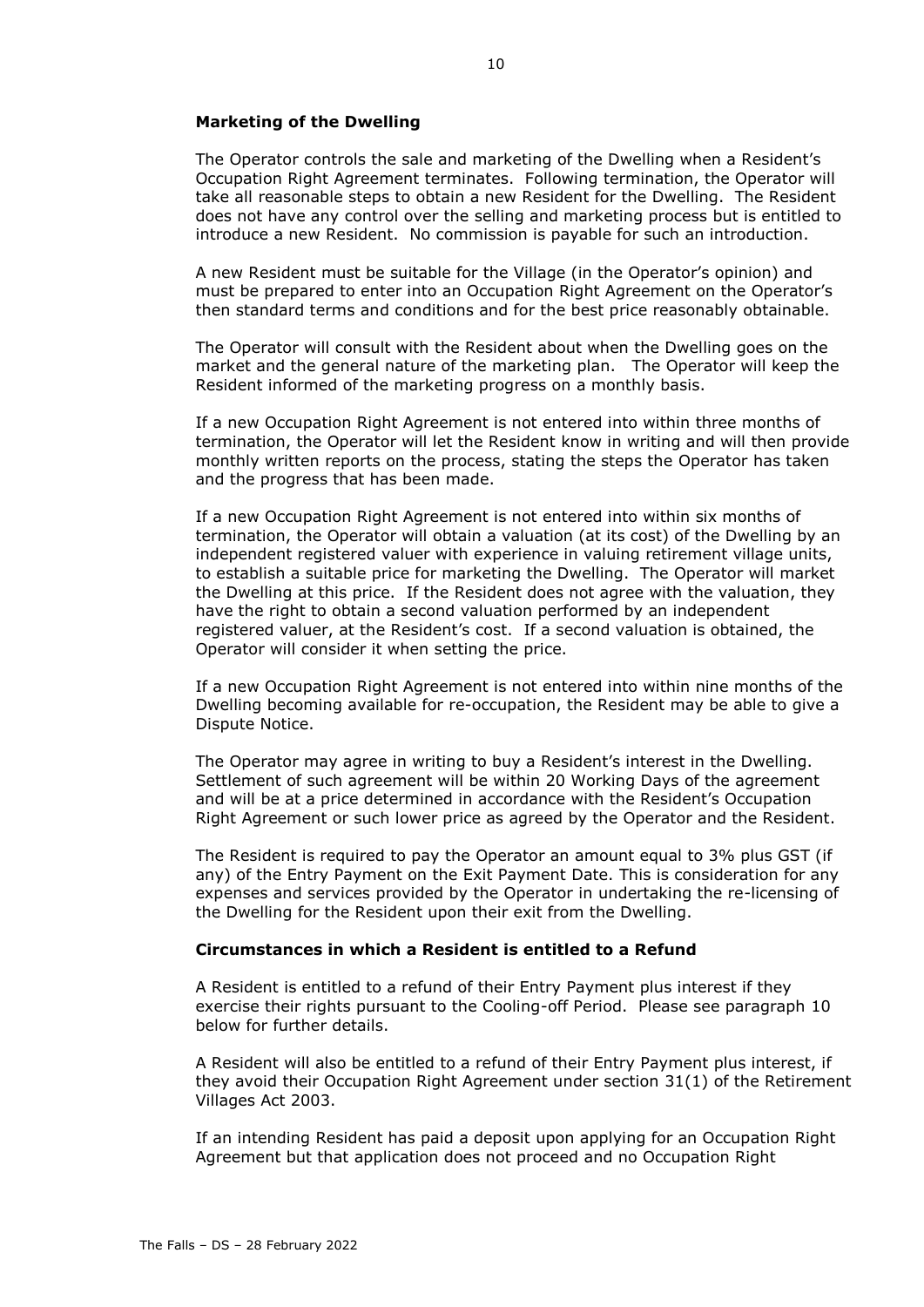#### **Marketing of the Dwelling**

The Operator controls the sale and marketing of the Dwelling when a Resident's Occupation Right Agreement terminates. Following termination, the Operator will take all reasonable steps to obtain a new Resident for the Dwelling. The Resident does not have any control over the selling and marketing process but is entitled to introduce a new Resident. No commission is payable for such an introduction.

A new Resident must be suitable for the Village (in the Operator's opinion) and must be prepared to enter into an Occupation Right Agreement on the Operator's then standard terms and conditions and for the best price reasonably obtainable.

The Operator will consult with the Resident about when the Dwelling goes on the market and the general nature of the marketing plan. The Operator will keep the Resident informed of the marketing progress on a monthly basis.

If a new Occupation Right Agreement is not entered into within three months of termination, the Operator will let the Resident know in writing and will then provide monthly written reports on the process, stating the steps the Operator has taken and the progress that has been made.

If a new Occupation Right Agreement is not entered into within six months of termination, the Operator will obtain a valuation (at its cost) of the Dwelling by an independent registered valuer with experience in valuing retirement village units, to establish a suitable price for marketing the Dwelling. The Operator will market the Dwelling at this price. If the Resident does not agree with the valuation, they have the right to obtain a second valuation performed by an independent registered valuer, at the Resident's cost. If a second valuation is obtained, the Operator will consider it when setting the price.

If a new Occupation Right Agreement is not entered into within nine months of the Dwelling becoming available for re-occupation, the Resident may be able to give a Dispute Notice.

The Operator may agree in writing to buy a Resident's interest in the Dwelling. Settlement of such agreement will be within 20 Working Days of the agreement and will be at a price determined in accordance with the Resident's Occupation Right Agreement or such lower price as agreed by the Operator and the Resident.

The Resident is required to pay the Operator an amount equal to 3% plus GST (if any) of the Entry Payment on the Exit Payment Date. This is consideration for any expenses and services provided by the Operator in undertaking the re-licensing of the Dwelling for the Resident upon their exit from the Dwelling.

#### **Circumstances in which a Resident is entitled to a Refund**

A Resident is entitled to a refund of their Entry Payment plus interest if they exercise their rights pursuant to the Cooling-off Period. Please see paragraph [10](#page-23-0) below for further details.

A Resident will also be entitled to a refund of their Entry Payment plus interest, if they avoid their Occupation Right Agreement under section 31(1) of the Retirement Villages Act 2003.

If an intending Resident has paid a deposit upon applying for an Occupation Right Agreement but that application does not proceed and no Occupation Right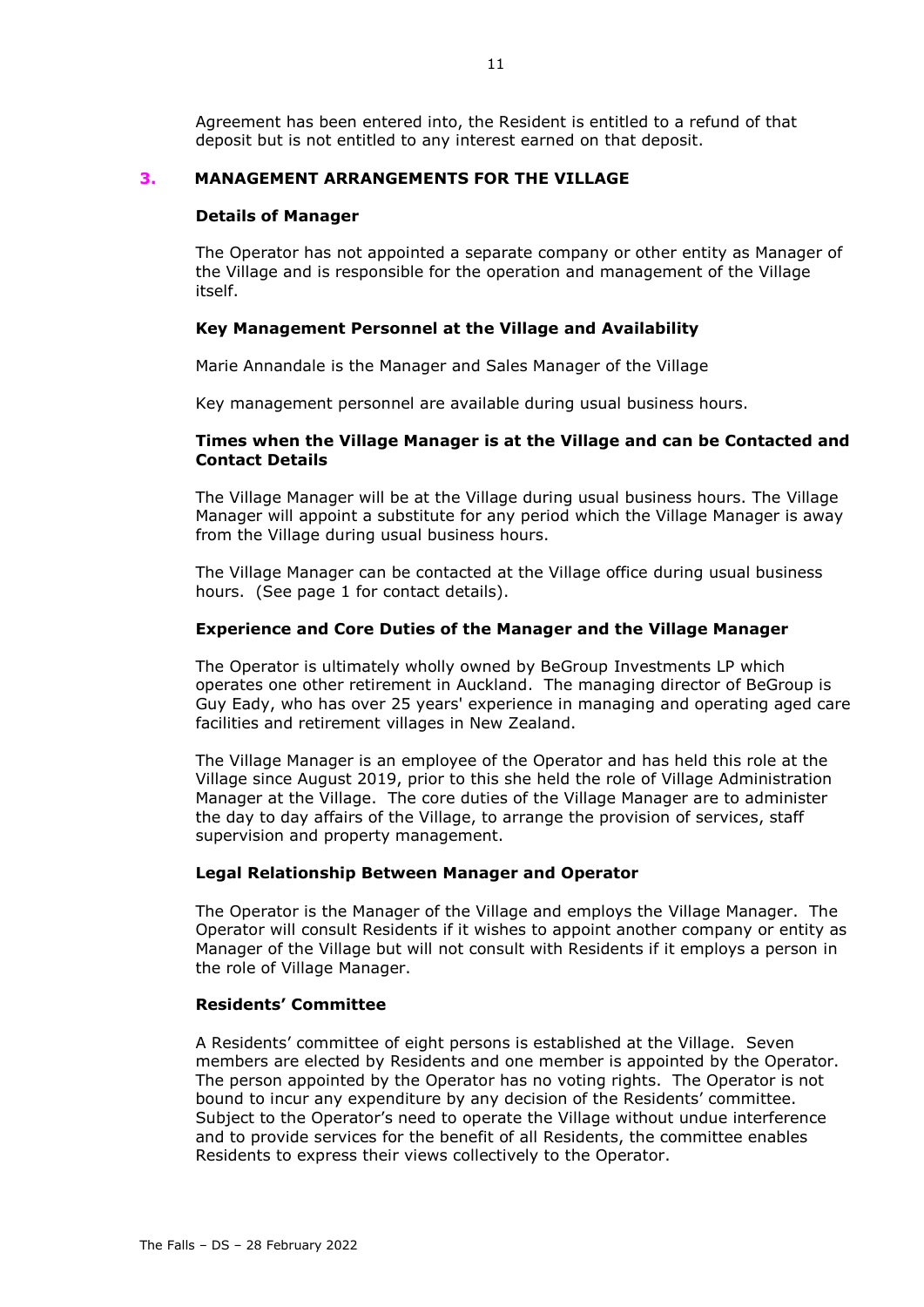Agreement has been entered into, the Resident is entitled to a refund of that deposit but is not entitled to any interest earned on that deposit.

# **3. MANAGEMENT ARRANGEMENTS FOR THE VILLAGE**

#### **Details of Manager**

The Operator has not appointed a separate company or other entity as Manager of the Village and is responsible for the operation and management of the Village itself.

# **Key Management Personnel at the Village and Availability**

Marie Annandale is the Manager and Sales Manager of the Village

Key management personnel are available during usual business hours.

# **Times when the Village Manager is at the Village and can be Contacted and Contact Details**

The Village Manager will be at the Village during usual business hours. The Village Manager will appoint a substitute for any period which the Village Manager is away from the Village during usual business hours.

The Village Manager can be contacted at the Village office during usual business hours. (See page 1 for contact details).

# **Experience and Core Duties of the Manager and the Village Manager**

The Operator is ultimately wholly owned by BeGroup Investments LP which operates one other retirement in Auckland. The managing director of BeGroup is Guy Eady, who has over 25 years' experience in managing and operating aged care facilities and retirement villages in New Zealand.

The Village Manager is an employee of the Operator and has held this role at the Village since August 2019, prior to this she held the role of Village Administration Manager at the Village. The core duties of the Village Manager are to administer the day to day affairs of the Village, to arrange the provision of services, staff supervision and property management.

# **Legal Relationship Between Manager and Operator**

The Operator is the Manager of the Village and employs the Village Manager. The Operator will consult Residents if it wishes to appoint another company or entity as Manager of the Village but will not consult with Residents if it employs a person in the role of Village Manager.

# **Residents' Committee**

A Residents' committee of eight persons is established at the Village. Seven members are elected by Residents and one member is appointed by the Operator. The person appointed by the Operator has no voting rights. The Operator is not bound to incur any expenditure by any decision of the Residents' committee. Subject to the Operator's need to operate the Village without undue interference and to provide services for the benefit of all Residents, the committee enables Residents to express their views collectively to the Operator.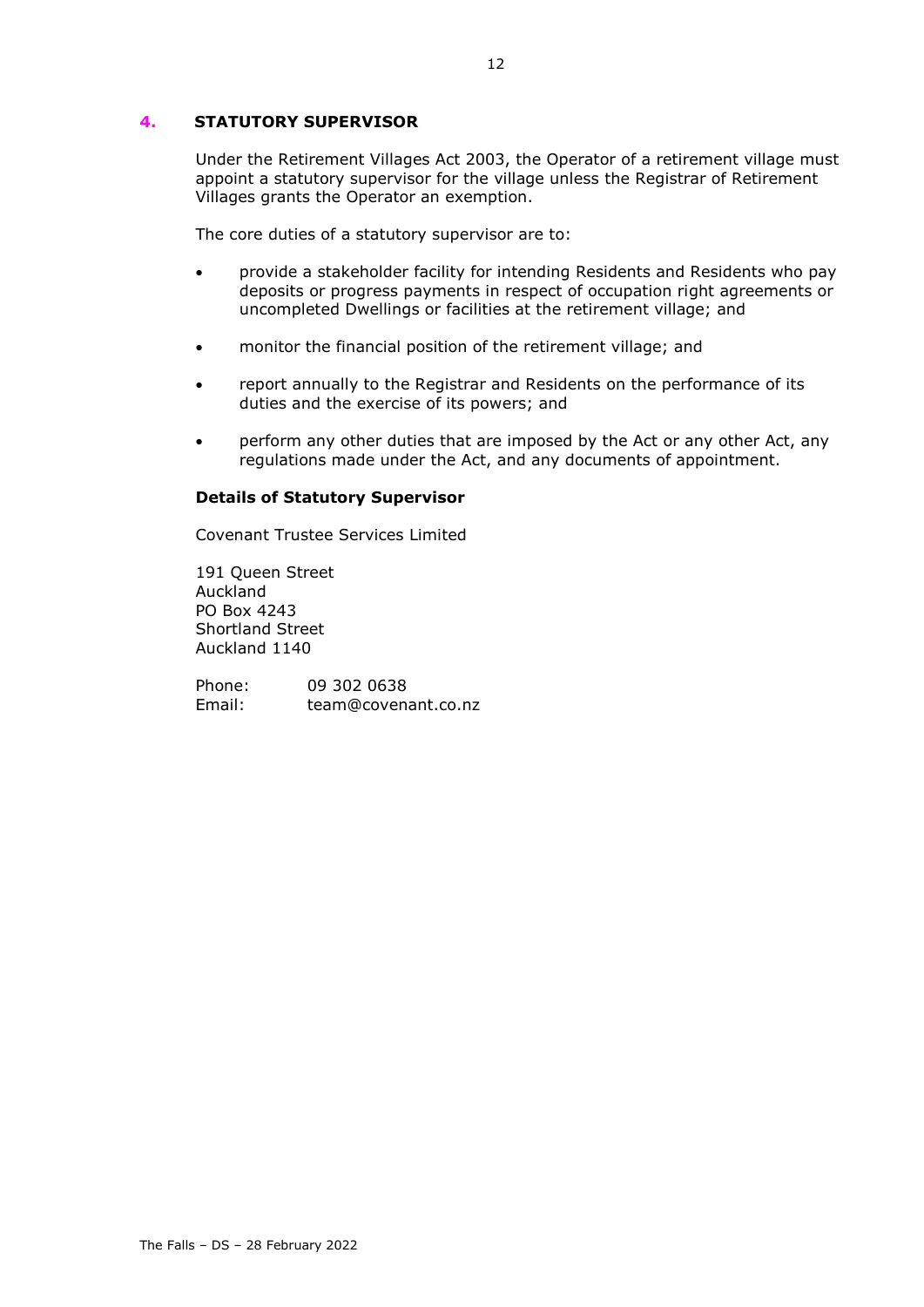# <span id="page-13-0"></span>**4. STATUTORY SUPERVISOR**

Under the Retirement Villages Act 2003, the Operator of a retirement village must appoint a statutory supervisor for the village unless the Registrar of Retirement Villages grants the Operator an exemption.

The core duties of a statutory supervisor are to:

- provide a stakeholder facility for intending Residents and Residents who pay deposits or progress payments in respect of occupation right agreements or uncompleted Dwellings or facilities at the retirement village; and
- monitor the financial position of the retirement village; and
- report annually to the Registrar and Residents on the performance of its duties and the exercise of its powers; and
- perform any other duties that are imposed by the Act or any other Act, any regulations made under the Act, and any documents of appointment.

#### **Details of Statutory Supervisor**

Covenant Trustee Services Limited

191 Queen Street Auckland PO Box 4243 Shortland Street Auckland 1140

Phone: 09 302 0638<br>
Fmail: team@covena team@covenant.co.nz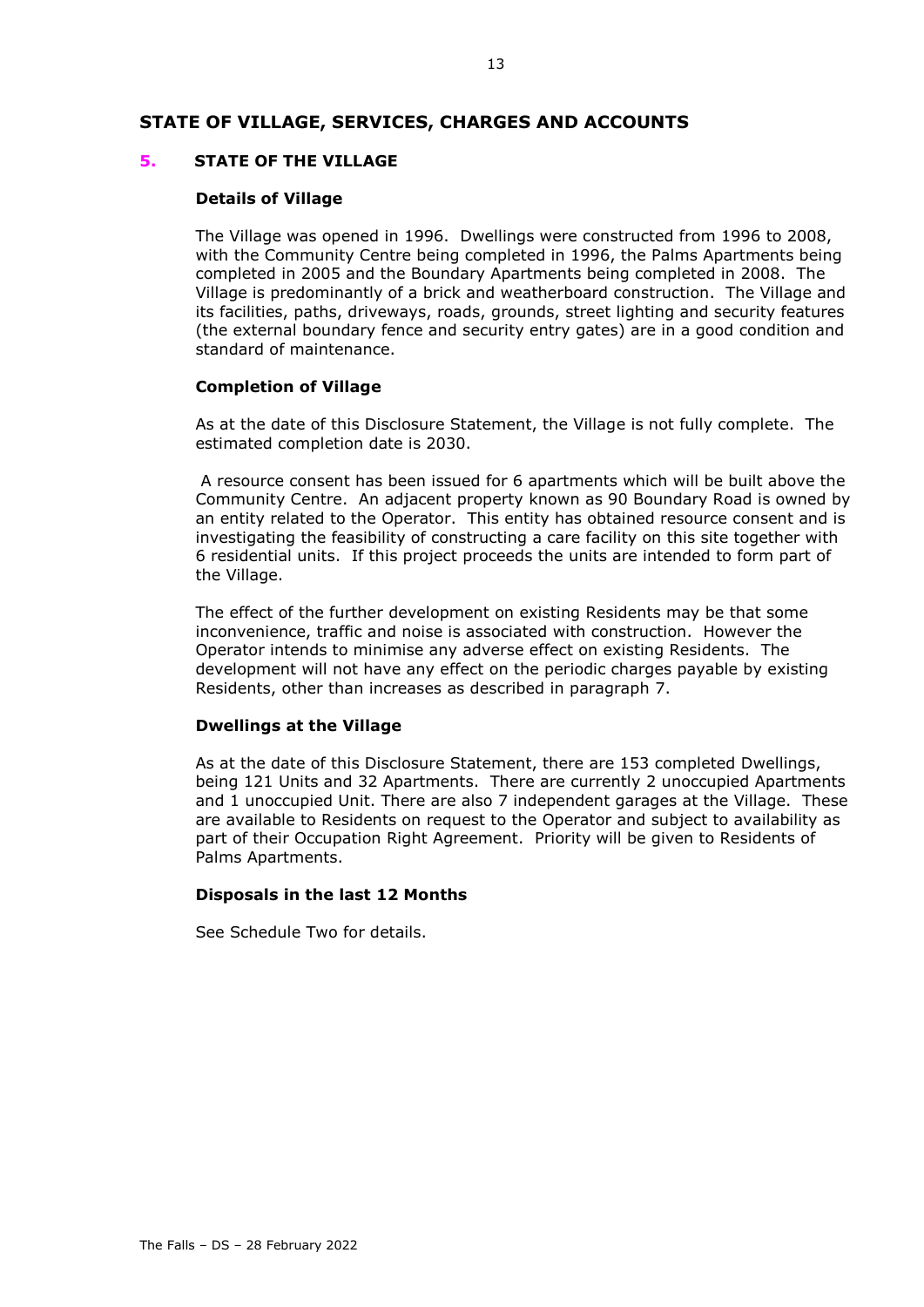# **STATE OF VILLAGE, SERVICES, CHARGES AND ACCOUNTS**

#### **5. STATE OF THE VILLAGE**

#### **Details of Village**

The Village was opened in 1996. Dwellings were constructed from 1996 to 2008, with the Community Centre being completed in 1996, the Palms Apartments being completed in 2005 and the Boundary Apartments being completed in 2008. The Village is predominantly of a brick and weatherboard construction. The Village and its facilities, paths, driveways, roads, grounds, street lighting and security features (the external boundary fence and security entry gates) are in a good condition and standard of maintenance.

#### **Completion of Village**

As at the date of this Disclosure Statement, the Village is not fully complete. The estimated completion date is 2030.

A resource consent has been issued for 6 apartments which will be built above the Community Centre. An adjacent property known as 90 Boundary Road is owned by an entity related to the Operator. This entity has obtained resource consent and is investigating the feasibility of constructing a care facility on this site together with 6 residential units. If this project proceeds the units are intended to form part of the Village.

The effect of the further development on existing Residents may be that some inconvenience, traffic and noise is associated with construction. However the Operator intends to minimise any adverse effect on existing Residents. The development will not have any effect on the periodic charges payable by existing Residents, other than increases as described in paragraph [7.](#page-17-0)

#### **Dwellings at the Village**

As at the date of this Disclosure Statement, there are 153 completed Dwellings, being 121 Units and 32 Apartments. There are currently 2 unoccupied Apartments and 1 unoccupied Unit. There are also 7 independent garages at the Village. These are available to Residents on request to the Operator and subject to availability as part of their Occupation Right Agreement. Priority will be given to Residents of Palms Apartments.

# **Disposals in the last 12 Months**

See Schedule Two for details.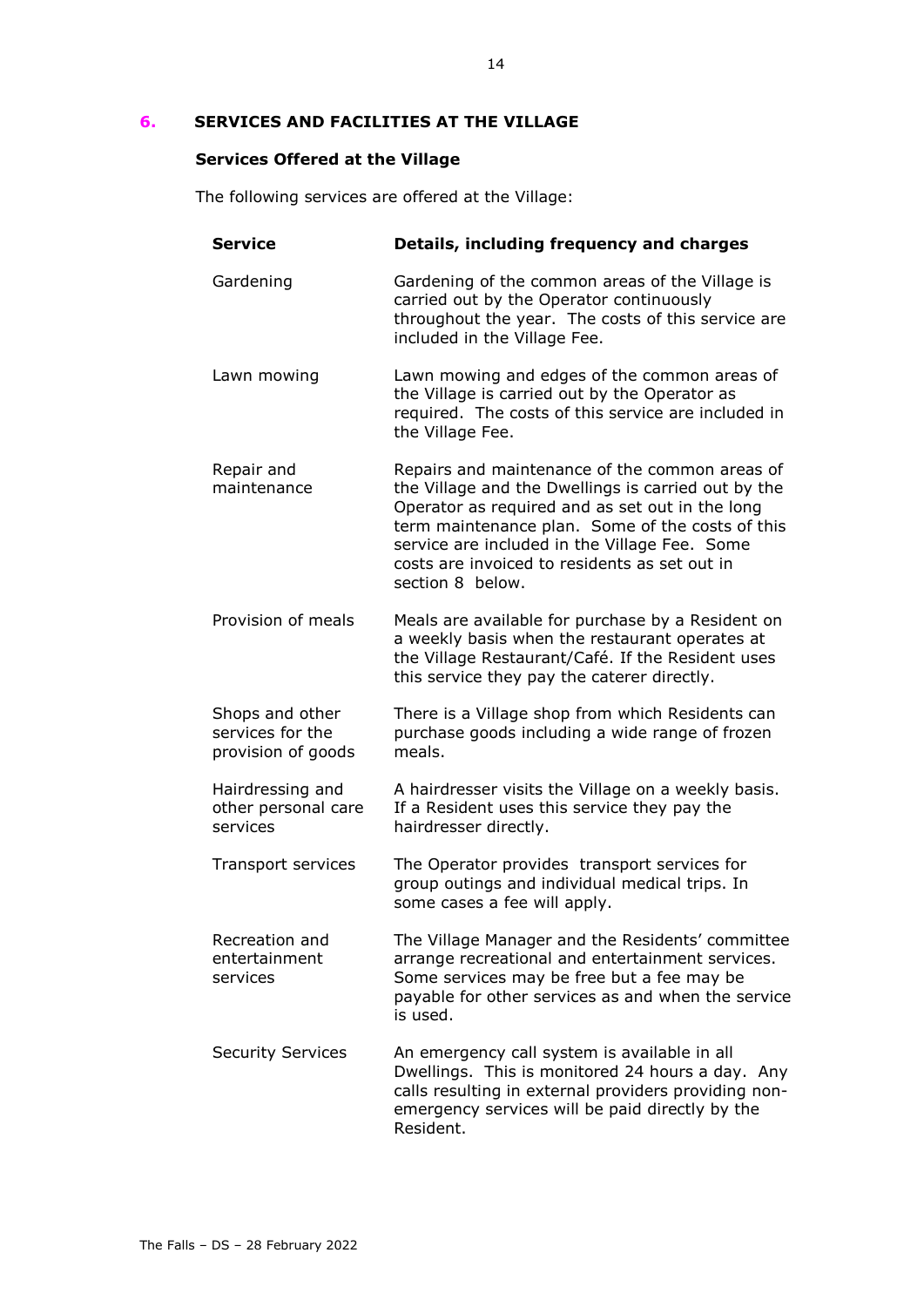# **6. SERVICES AND FACILITIES AT THE VILLAGE**

# **Services Offered at the Village**

The following services are offered at the Village:

| <b>Service</b>                                            | Details, including frequency and charges                                                                                                                                                                                                                                                                                           |
|-----------------------------------------------------------|------------------------------------------------------------------------------------------------------------------------------------------------------------------------------------------------------------------------------------------------------------------------------------------------------------------------------------|
| Gardening                                                 | Gardening of the common areas of the Village is<br>carried out by the Operator continuously<br>throughout the year. The costs of this service are<br>included in the Village Fee.                                                                                                                                                  |
| Lawn mowing                                               | Lawn mowing and edges of the common areas of<br>the Village is carried out by the Operator as<br>required. The costs of this service are included in<br>the Village Fee.                                                                                                                                                           |
| Repair and<br>maintenance                                 | Repairs and maintenance of the common areas of<br>the Village and the Dwellings is carried out by the<br>Operator as required and as set out in the long<br>term maintenance plan. Some of the costs of this<br>service are included in the Village Fee. Some<br>costs are invoiced to residents as set out in<br>section 8 below. |
| Provision of meals                                        | Meals are available for purchase by a Resident on<br>a weekly basis when the restaurant operates at<br>the Village Restaurant/Café. If the Resident uses<br>this service they pay the caterer directly.                                                                                                                            |
| Shops and other<br>services for the<br>provision of goods | There is a Village shop from which Residents can<br>purchase goods including a wide range of frozen<br>meals.                                                                                                                                                                                                                      |
| Hairdressing and<br>other personal care<br>services       | A hairdresser visits the Village on a weekly basis.<br>If a Resident uses this service they pay the<br>hairdresser directly.                                                                                                                                                                                                       |
| Transport services                                        | The Operator provides transport services for<br>group outings and individual medical trips. In<br>some cases a fee will apply.                                                                                                                                                                                                     |
| Recreation and<br>entertainment<br>services               | The Village Manager and the Residents' committee<br>arrange recreational and entertainment services.<br>Some services may be free but a fee may be<br>payable for other services as and when the service<br>is used.                                                                                                               |
| <b>Security Services</b>                                  | An emergency call system is available in all<br>Dwellings. This is monitored 24 hours a day. Any<br>calls resulting in external providers providing non-<br>emergency services will be paid directly by the<br>Resident.                                                                                                           |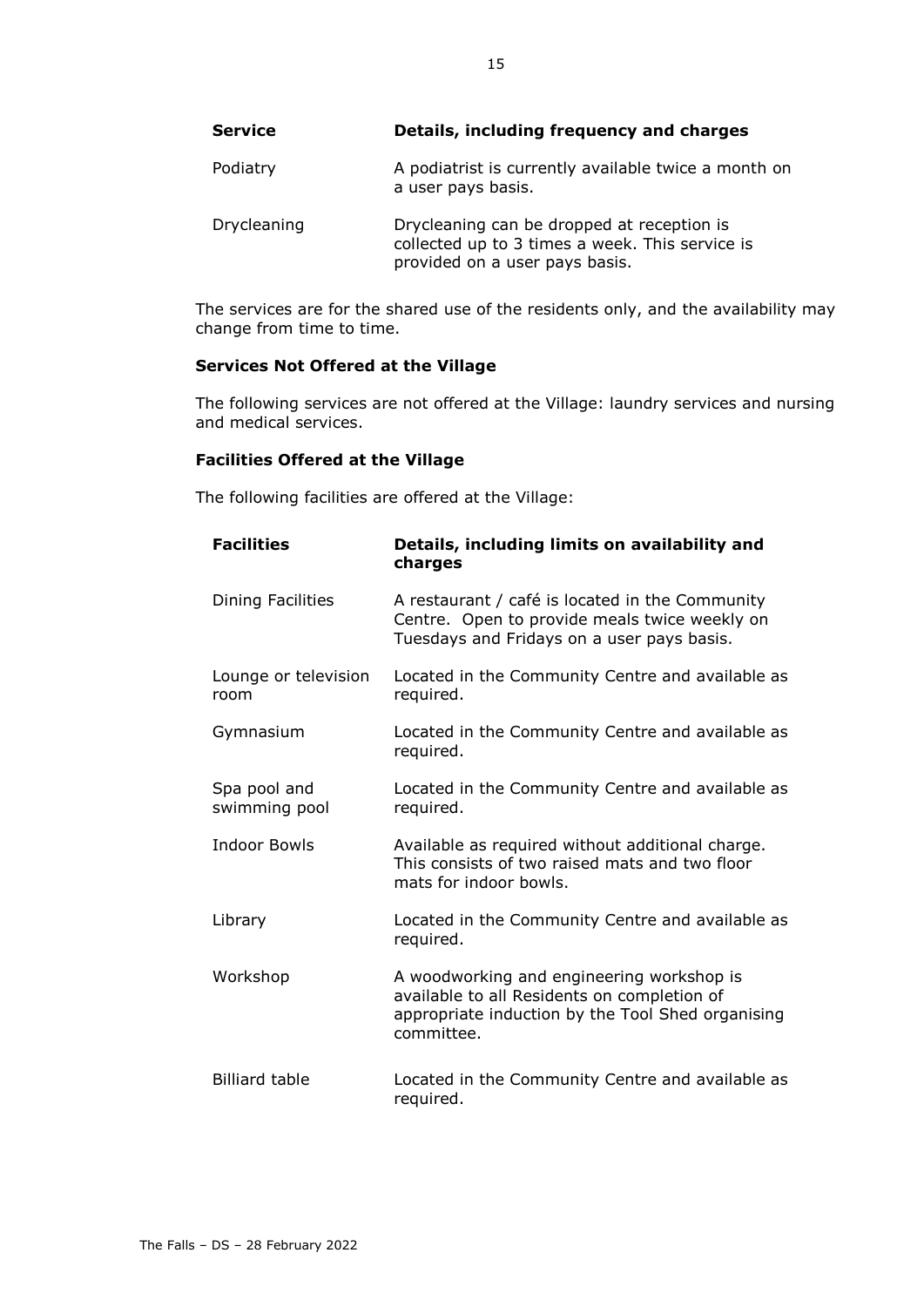| <b>Service</b> | Details, including frequency and charges                                                                                        |
|----------------|---------------------------------------------------------------------------------------------------------------------------------|
| Podiatry       | A podiatrist is currently available twice a month on<br>a user pays basis.                                                      |
| Drycleaning    | Drycleaning can be dropped at reception is<br>collected up to 3 times a week. This service is<br>provided on a user pays basis. |

The services are for the shared use of the residents only, and the availability may change from time to time.

# **Services Not Offered at the Village**

The following services are not offered at the Village: laundry services and nursing and medical services.

# **Facilities Offered at the Village**

The following facilities are offered at the Village:

| <b>Facilities</b>             | Details, including limits on availability and<br>charges                                                                                                    |
|-------------------------------|-------------------------------------------------------------------------------------------------------------------------------------------------------------|
| Dining Facilities             | A restaurant / café is located in the Community<br>Centre. Open to provide meals twice weekly on<br>Tuesdays and Fridays on a user pays basis.              |
| Lounge or television<br>room  | Located in the Community Centre and available as<br>required.                                                                                               |
| Gymnasium                     | Located in the Community Centre and available as<br>required.                                                                                               |
| Spa pool and<br>swimming pool | Located in the Community Centre and available as<br>required.                                                                                               |
| <b>Indoor Bowls</b>           | Available as required without additional charge.<br>This consists of two raised mats and two floor<br>mats for indoor bowls.                                |
| Library                       | Located in the Community Centre and available as<br>required.                                                                                               |
| Workshop                      | A woodworking and engineering workshop is<br>available to all Residents on completion of<br>appropriate induction by the Tool Shed organising<br>committee. |
| <b>Billiard table</b>         | Located in the Community Centre and available as<br>required.                                                                                               |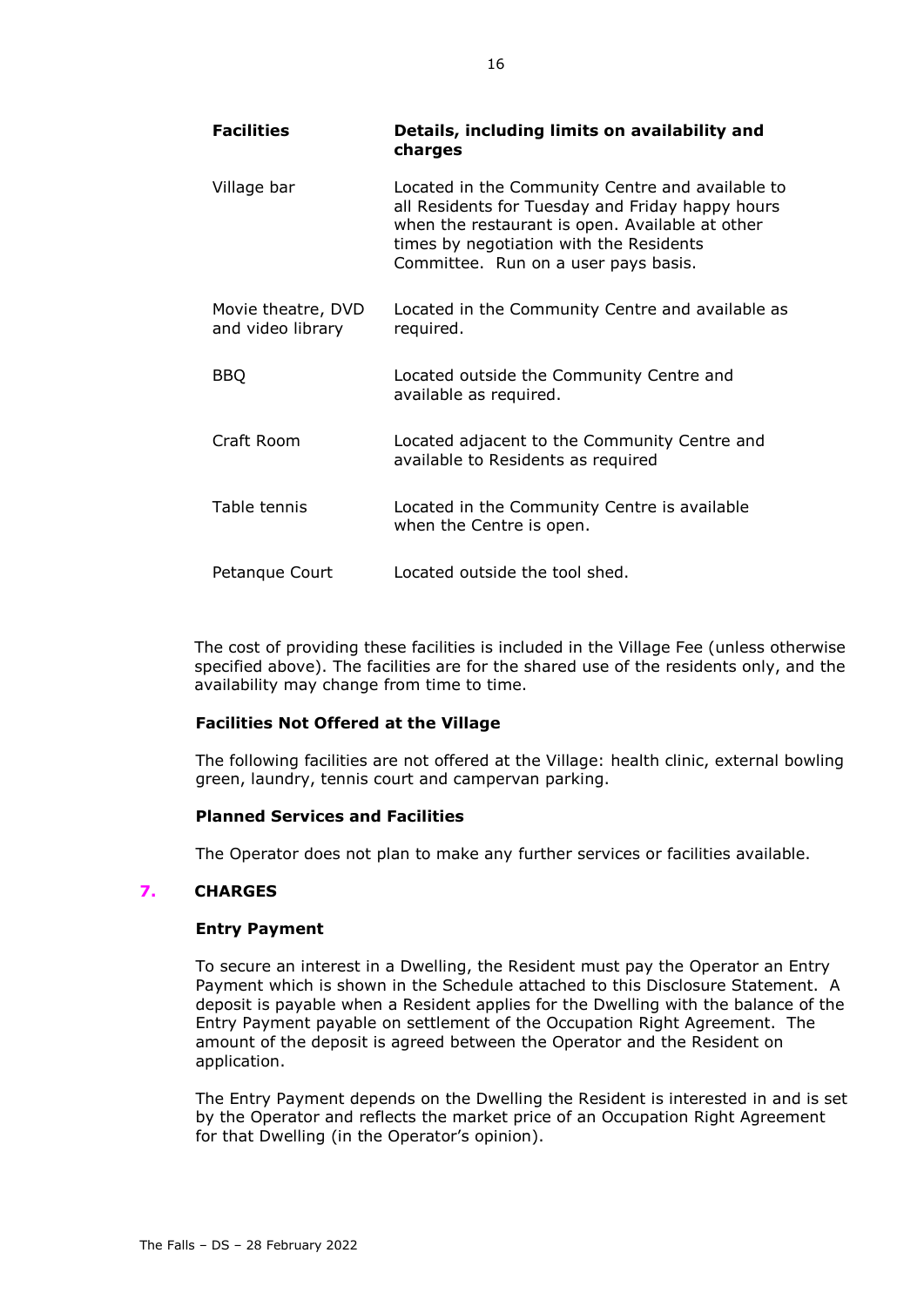| <b>Facilities</b>                       | Details, including limits on availability and<br>charges                                                                                                                                                                                   |
|-----------------------------------------|--------------------------------------------------------------------------------------------------------------------------------------------------------------------------------------------------------------------------------------------|
| Village bar                             | Located in the Community Centre and available to<br>all Residents for Tuesday and Friday happy hours<br>when the restaurant is open. Available at other<br>times by negotiation with the Residents<br>Committee. Run on a user pays basis. |
| Movie theatre, DVD<br>and video library | Located in the Community Centre and available as<br>required.                                                                                                                                                                              |
| <b>BBQ</b>                              | Located outside the Community Centre and<br>available as required.                                                                                                                                                                         |
| Craft Room                              | Located adjacent to the Community Centre and<br>available to Residents as required                                                                                                                                                         |
| Table tennis                            | Located in the Community Centre is available<br>when the Centre is open.                                                                                                                                                                   |
| Petanque Court                          | Located outside the tool shed.                                                                                                                                                                                                             |

The cost of providing these facilities is included in the Village Fee (unless otherwise specified above). The facilities are for the shared use of the residents only, and the availability may change from time to time.

# **Facilities Not Offered at the Village**

The following facilities are not offered at the Village: health clinic, external bowling green, laundry, tennis court and campervan parking.

# **Planned Services and Facilities**

The Operator does not plan to make any further services or facilities available.

# <span id="page-17-0"></span>**7. CHARGES**

# **Entry Payment**

To secure an interest in a Dwelling, the Resident must pay the Operator an Entry Payment which is shown in the Schedule attached to this Disclosure Statement. A deposit is payable when a Resident applies for the Dwelling with the balance of the Entry Payment payable on settlement of the Occupation Right Agreement. The amount of the deposit is agreed between the Operator and the Resident on application.

The Entry Payment depends on the Dwelling the Resident is interested in and is set by the Operator and reflects the market price of an Occupation Right Agreement for that Dwelling (in the Operator's opinion).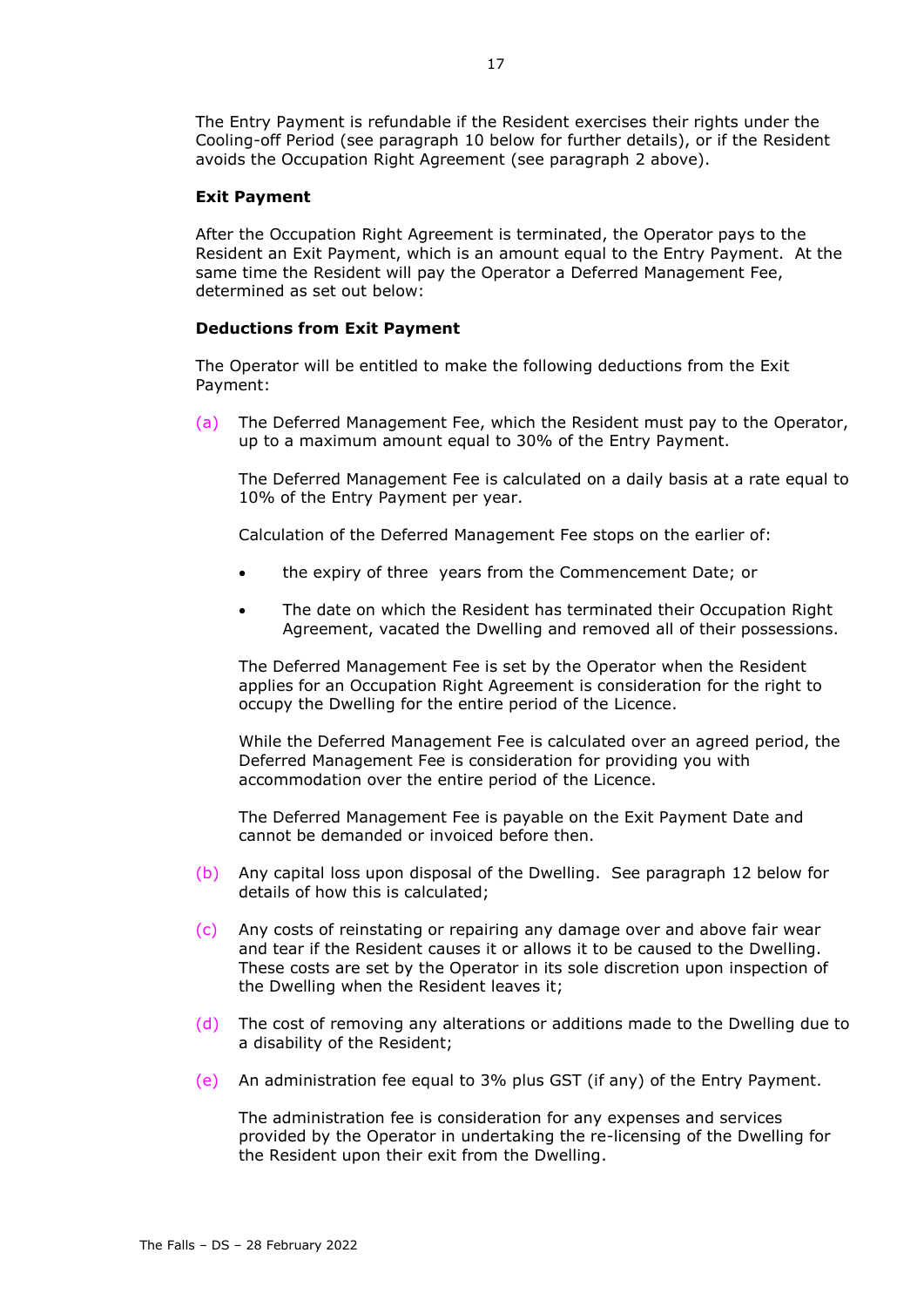The Entry Payment is refundable if the Resident exercises their rights under the Cooling-off Period (see paragraph [10](#page-23-0) below for further details), or if the Resident avoids the Occupation Right Agreement (see paragraph [2](#page-9-0) above).

#### **Exit Payment**

After the Occupation Right Agreement is terminated, the Operator pays to the Resident an Exit Payment, which is an amount equal to the Entry Payment. At the same time the Resident will pay the Operator a Deferred Management Fee, determined as set out below:

#### **Deductions from Exit Payment**

The Operator will be entitled to make the following deductions from the Exit Payment:

(a) The Deferred Management Fee, which the Resident must pay to the Operator, up to a maximum amount equal to 30% of the Entry Payment.

The Deferred Management Fee is calculated on a daily basis at a rate equal to 10% of the Entry Payment per year.

Calculation of the Deferred Management Fee stops on the earlier of:

- the expiry of three years from the Commencement Date; or
- The date on which the Resident has terminated their Occupation Right Agreement, vacated the Dwelling and removed all of their possessions.

The Deferred Management Fee is set by the Operator when the Resident applies for an Occupation Right Agreement is consideration for the right to occupy the Dwelling for the entire period of the Licence.

While the Deferred Management Fee is calculated over an agreed period, the Deferred Management Fee is consideration for providing you with accommodation over the entire period of the Licence.

The Deferred Management Fee is payable on the Exit Payment Date and cannot be demanded or invoiced before then.

- (b) Any capital loss upon disposal of the Dwelling. See paragraph [12](#page-23-1) below for details of how this is calculated;
- (c) Any costs of reinstating or repairing any damage over and above fair wear and tear if the Resident causes it or allows it to be caused to the Dwelling. These costs are set by the Operator in its sole discretion upon inspection of the Dwelling when the Resident leaves it;
- (d) The cost of removing any alterations or additions made to the Dwelling due to a disability of the Resident;
- (e) An administration fee equal to 3% plus GST (if any) of the Entry Payment.

The administration fee is consideration for any expenses and services provided by the Operator in undertaking the re-licensing of the Dwelling for the Resident upon their exit from the Dwelling.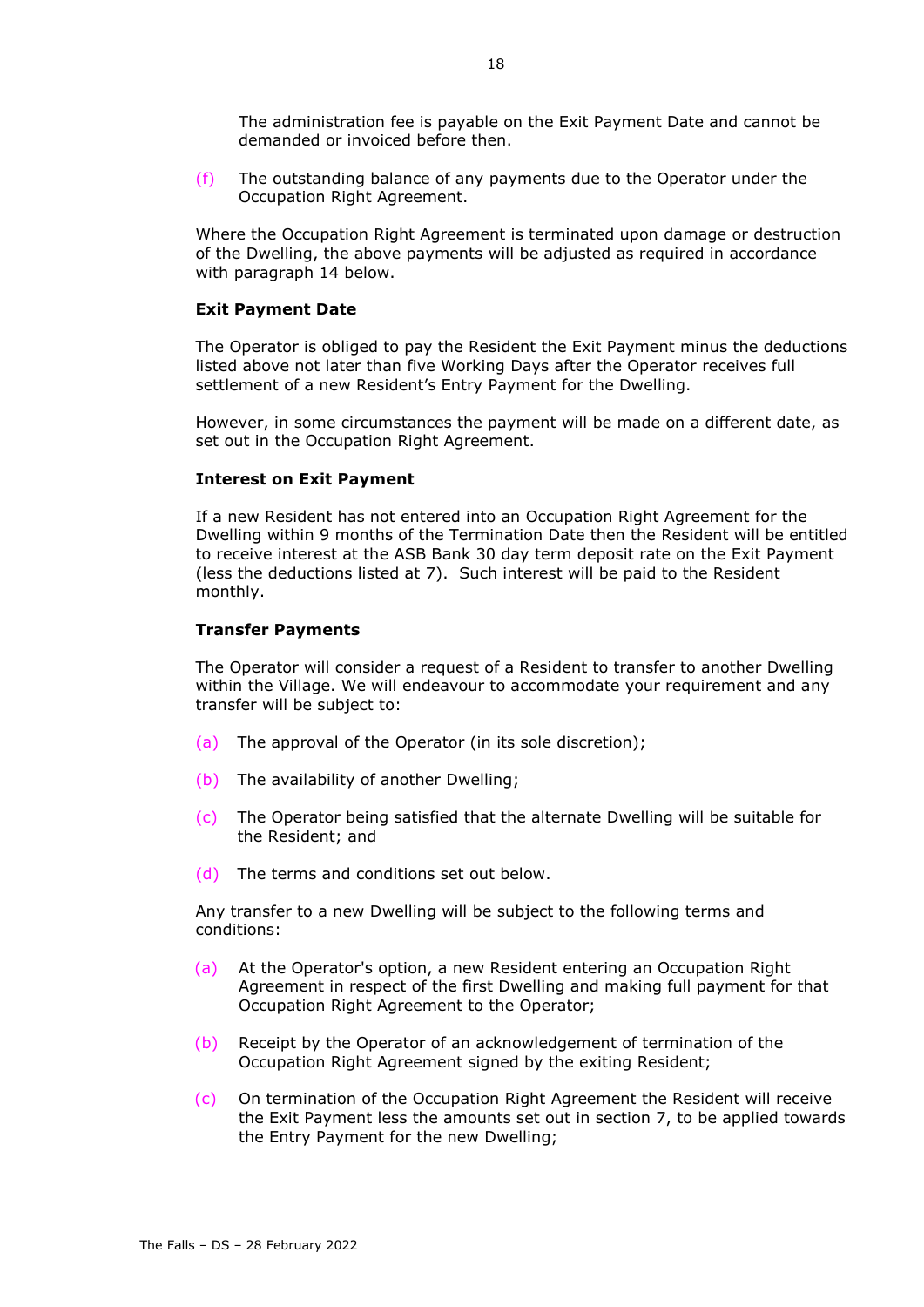The administration fee is payable on the Exit Payment Date and cannot be demanded or invoiced before then.

(f) The outstanding balance of any payments due to the Operator under the Occupation Right Agreement.

Where the Occupation Right Agreement is terminated upon damage or destruction of the Dwelling, the above payments will be adjusted as required in accordance with paragraph 14 below.

#### **Exit Payment Date**

The Operator is obliged to pay the Resident the Exit Payment minus the deductions listed above not later than five Working Days after the Operator receives full settlement of a new Resident's Entry Payment for the Dwelling.

However, in some circumstances the payment will be made on a different date, as set out in the Occupation Right Agreement.

#### **Interest on Exit Payment**

If a new Resident has not entered into an Occupation Right Agreement for the Dwelling within 9 months of the Termination Date then the Resident will be entitled to receive interest at the ASB Bank 30 day term deposit rate on the Exit Payment (less the deductions listed at [7\)](#page-17-0). Such interest will be paid to the Resident monthly.

#### **Transfer Payments**

The Operator will consider a request of a Resident to transfer to another Dwelling within the Village. We will endeavour to accommodate your requirement and any transfer will be subject to:

- (a) The approval of the Operator (in its sole discretion);
- (b) The availability of another Dwelling;
- (c) The Operator being satisfied that the alternate Dwelling will be suitable for the Resident; and
- (d) The terms and conditions set out below.

Any transfer to a new Dwelling will be subject to the following terms and conditions:

- (a) At the Operator's option, a new Resident entering an Occupation Right Agreement in respect of the first Dwelling and making full payment for that Occupation Right Agreement to the Operator;
- (b) Receipt by the Operator of an acknowledgement of termination of the Occupation Right Agreement signed by the exiting Resident;
- (c) On termination of the Occupation Right Agreement the Resident will receive the Exit Payment less the amounts set out in section 7, to be applied towards the Entry Payment for the new Dwelling;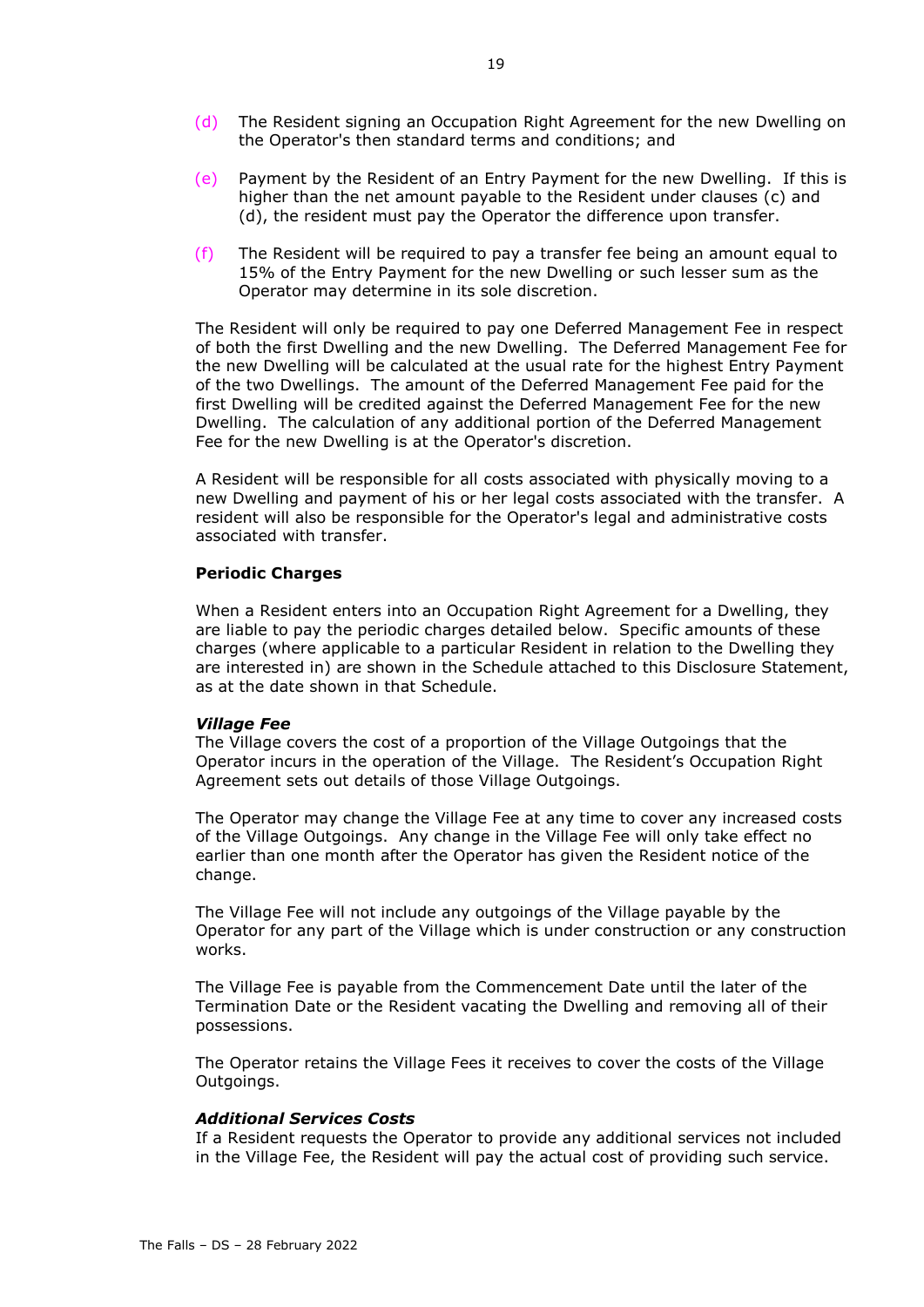- (d) The Resident signing an Occupation Right Agreement for the new Dwelling on the Operator's then standard terms and conditions; and
- (e) Payment by the Resident of an Entry Payment for the new Dwelling. If this is higher than the net amount payable to the Resident under clauses (c) and (d), the resident must pay the Operator the difference upon transfer.
- (f) The Resident will be required to pay a transfer fee being an amount equal to 15% of the Entry Payment for the new Dwelling or such lesser sum as the Operator may determine in its sole discretion.

The Resident will only be required to pay one Deferred Management Fee in respect of both the first Dwelling and the new Dwelling. The Deferred Management Fee for the new Dwelling will be calculated at the usual rate for the highest Entry Payment of the two Dwellings. The amount of the Deferred Management Fee paid for the first Dwelling will be credited against the Deferred Management Fee for the new Dwelling. The calculation of any additional portion of the Deferred Management Fee for the new Dwelling is at the Operator's discretion.

A Resident will be responsible for all costs associated with physically moving to a new Dwelling and payment of his or her legal costs associated with the transfer. A resident will also be responsible for the Operator's legal and administrative costs associated with transfer.

#### **Periodic Charges**

When a Resident enters into an Occupation Right Agreement for a Dwelling, they are liable to pay the periodic charges detailed below. Specific amounts of these charges (where applicable to a particular Resident in relation to the Dwelling they are interested in) are shown in the Schedule attached to this Disclosure Statement, as at the date shown in that Schedule.

#### *Village Fee*

The Village covers the cost of a proportion of the Village Outgoings that the Operator incurs in the operation of the Village. The Resident's Occupation Right Agreement sets out details of those Village Outgoings.

The Operator may change the Village Fee at any time to cover any increased costs of the Village Outgoings. Any change in the Village Fee will only take effect no earlier than one month after the Operator has given the Resident notice of the change.

The Village Fee will not include any outgoings of the Village payable by the Operator for any part of the Village which is under construction or any construction works.

The Village Fee is payable from the Commencement Date until the later of the Termination Date or the Resident vacating the Dwelling and removing all of their possessions.

The Operator retains the Village Fees it receives to cover the costs of the Village Outgoings.

# *Additional Services Costs*

If a Resident requests the Operator to provide any additional services not included in the Village Fee, the Resident will pay the actual cost of providing such service.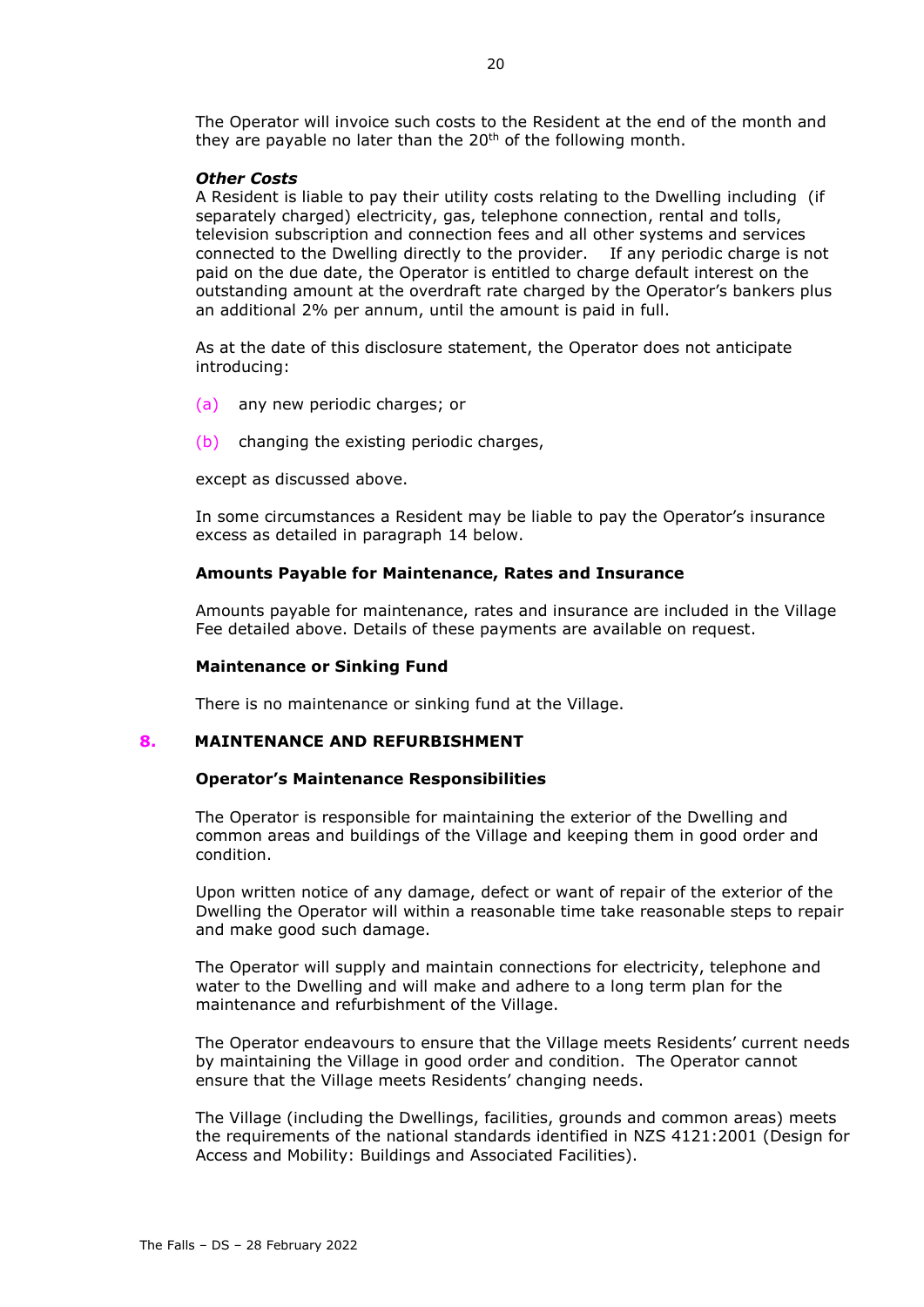The Operator will invoice such costs to the Resident at the end of the month and they are payable no later than the 20<sup>th</sup> of the following month.

#### *Other Costs*

A Resident is liable to pay their utility costs relating to the Dwelling including (if separately charged) electricity, gas, telephone connection, rental and tolls, television subscription and connection fees and all other systems and services connected to the Dwelling directly to the provider. If any periodic charge is not paid on the due date, the Operator is entitled to charge default interest on the outstanding amount at the overdraft rate charged by the Operator's bankers plus an additional 2% per annum, until the amount is paid in full.

As at the date of this disclosure statement, the Operator does not anticipate introducing:

- (a) any new periodic charges; or
- (b) changing the existing periodic charges,

except as discussed above.

In some circumstances a Resident may be liable to pay the Operator's insurance excess as detailed in paragraph [14](#page-24-0) below.

# **Amounts Payable for Maintenance, Rates and Insurance**

Amounts payable for maintenance, rates and insurance are included in the Village Fee detailed above. Details of these payments are available on request.

#### **Maintenance or Sinking Fund**

There is no maintenance or sinking fund at the Village.

#### <span id="page-21-0"></span>**8. MAINTENANCE AND REFURBISHMENT**

#### **Operator's Maintenance Responsibilities**

The Operator is responsible for maintaining the exterior of the Dwelling and common areas and buildings of the Village and keeping them in good order and condition.

Upon written notice of any damage, defect or want of repair of the exterior of the Dwelling the Operator will within a reasonable time take reasonable steps to repair and make good such damage.

The Operator will supply and maintain connections for electricity, telephone and water to the Dwelling and will make and adhere to a long term plan for the maintenance and refurbishment of the Village.

The Operator endeavours to ensure that the Village meets Residents' current needs by maintaining the Village in good order and condition. The Operator cannot ensure that the Village meets Residents' changing needs.

The Village (including the Dwellings, facilities, grounds and common areas) meets the requirements of the national standards identified in NZS 4121:2001 (Design for Access and Mobility: Buildings and Associated Facilities).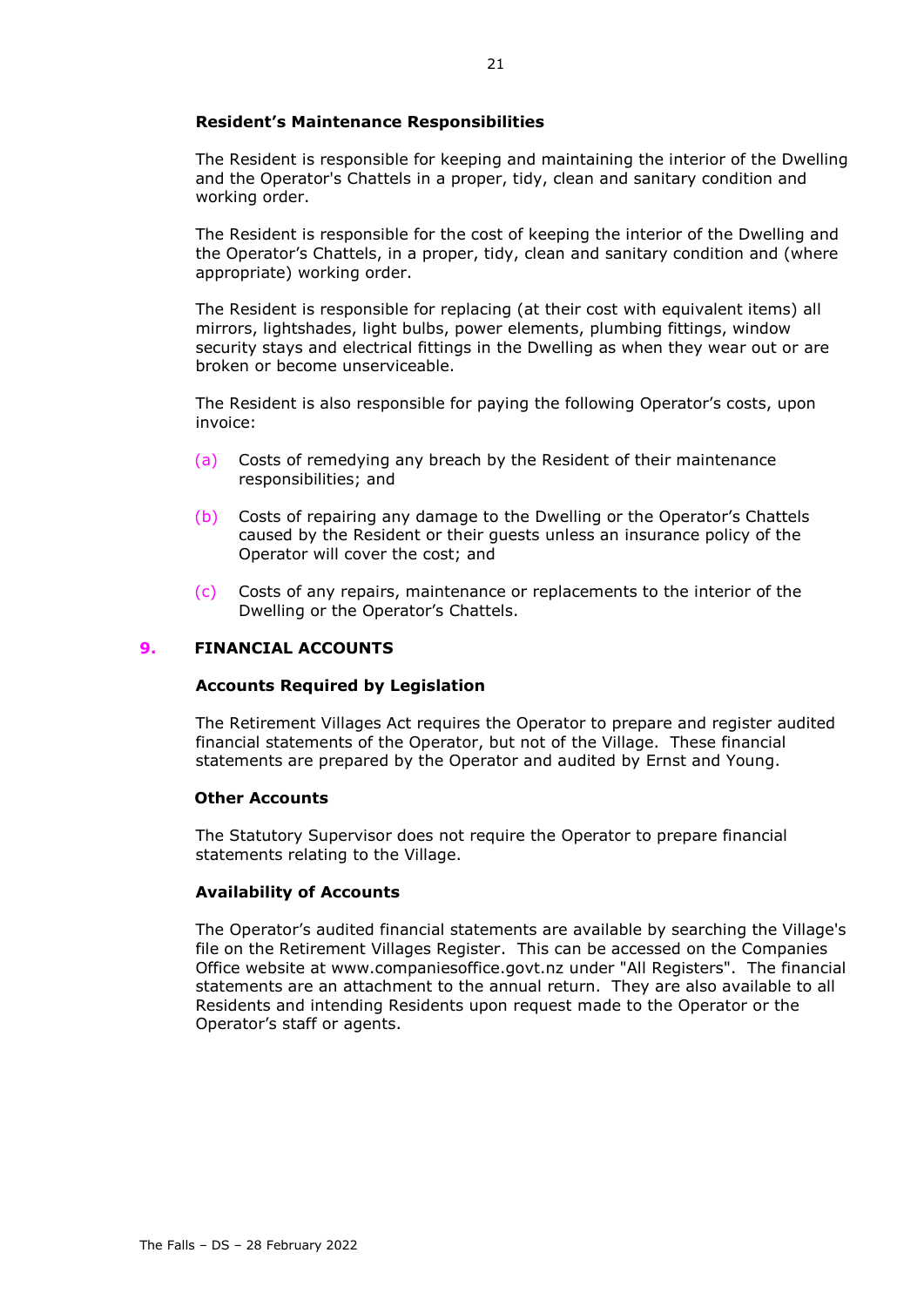# **Resident's Maintenance Responsibilities**

The Resident is responsible for keeping and maintaining the interior of the Dwelling and the Operator's Chattels in a proper, tidy, clean and sanitary condition and working order.

The Resident is responsible for the cost of keeping the interior of the Dwelling and the Operator's Chattels, in a proper, tidy, clean and sanitary condition and (where appropriate) working order.

The Resident is responsible for replacing (at their cost with equivalent items) all mirrors, lightshades, light bulbs, power elements, plumbing fittings, window security stays and electrical fittings in the Dwelling as when they wear out or are broken or become unserviceable.

The Resident is also responsible for paying the following Operator's costs, upon invoice:

- (a) Costs of remedying any breach by the Resident of their maintenance responsibilities; and
- (b) Costs of repairing any damage to the Dwelling or the Operator's Chattels caused by the Resident or their guests unless an insurance policy of the Operator will cover the cost; and
- (c) Costs of any repairs, maintenance or replacements to the interior of the Dwelling or the Operator's Chattels.

# **9. FINANCIAL ACCOUNTS**

# **Accounts Required by Legislation**

The Retirement Villages Act requires the Operator to prepare and register audited financial statements of the Operator, but not of the Village. These financial statements are prepared by the Operator and audited by Ernst and Young.

# **Other Accounts**

The Statutory Supervisor does not require the Operator to prepare financial statements relating to the Village.

# **Availability of Accounts**

The Operator's audited financial statements are available by searching the Village's file on the Retirement Villages Register. This can be accessed on the Companies Office website at www.companiesoffice.govt.nz under "All Registers". The financial statements are an attachment to the annual return. They are also available to all Residents and intending Residents upon request made to the Operator or the Operator's staff or agents.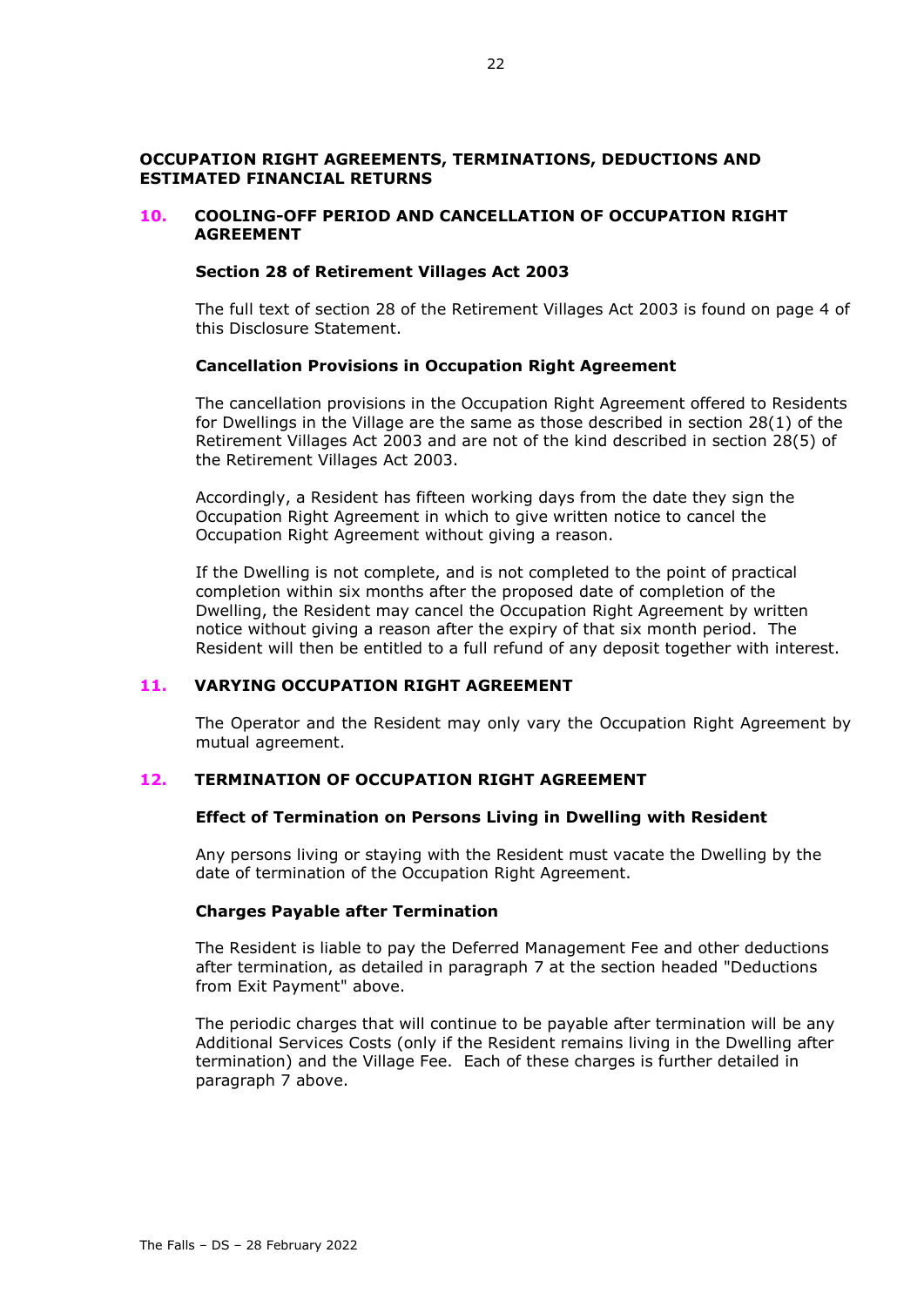# **OCCUPATION RIGHT AGREEMENTS, TERMINATIONS, DEDUCTIONS AND ESTIMATED FINANCIAL RETURNS**

# <span id="page-23-0"></span>**10. COOLING-OFF PERIOD AND CANCELLATION OF OCCUPATION RIGHT AGREEMENT**

#### **Section 28 of Retirement Villages Act 2003**

The full text of section 28 of the Retirement Villages Act 2003 is found on page [4](#page-5-0) of this Disclosure Statement.

# **Cancellation Provisions in Occupation Right Agreement**

The cancellation provisions in the Occupation Right Agreement offered to Residents for Dwellings in the Village are the same as those described in section 28(1) of the Retirement Villages Act 2003 and are not of the kind described in section 28(5) of the Retirement Villages Act 2003.

Accordingly, a Resident has fifteen working days from the date they sign the Occupation Right Agreement in which to give written notice to cancel the Occupation Right Agreement without giving a reason.

If the Dwelling is not complete, and is not completed to the point of practical completion within six months after the proposed date of completion of the Dwelling, the Resident may cancel the Occupation Right Agreement by written notice without giving a reason after the expiry of that six month period. The Resident will then be entitled to a full refund of any deposit together with interest.

# **11. VARYING OCCUPATION RIGHT AGREEMENT**

The Operator and the Resident may only vary the Occupation Right Agreement by mutual agreement.

# <span id="page-23-1"></span>**12. TERMINATION OF OCCUPATION RIGHT AGREEMENT**

#### **Effect of Termination on Persons Living in Dwelling with Resident**

Any persons living or staying with the Resident must vacate the Dwelling by the date of termination of the Occupation Right Agreement.

# **Charges Payable after Termination**

The Resident is liable to pay the Deferred Management Fee and other deductions after termination, as detailed in paragraph [7](#page-17-0) at the section headed "Deductions from Exit Payment" above.

The periodic charges that will continue to be payable after termination will be any Additional Services Costs (only if the Resident remains living in the Dwelling after termination) and the Village Fee. Each of these charges is further detailed in paragraph [7](#page-17-0) above.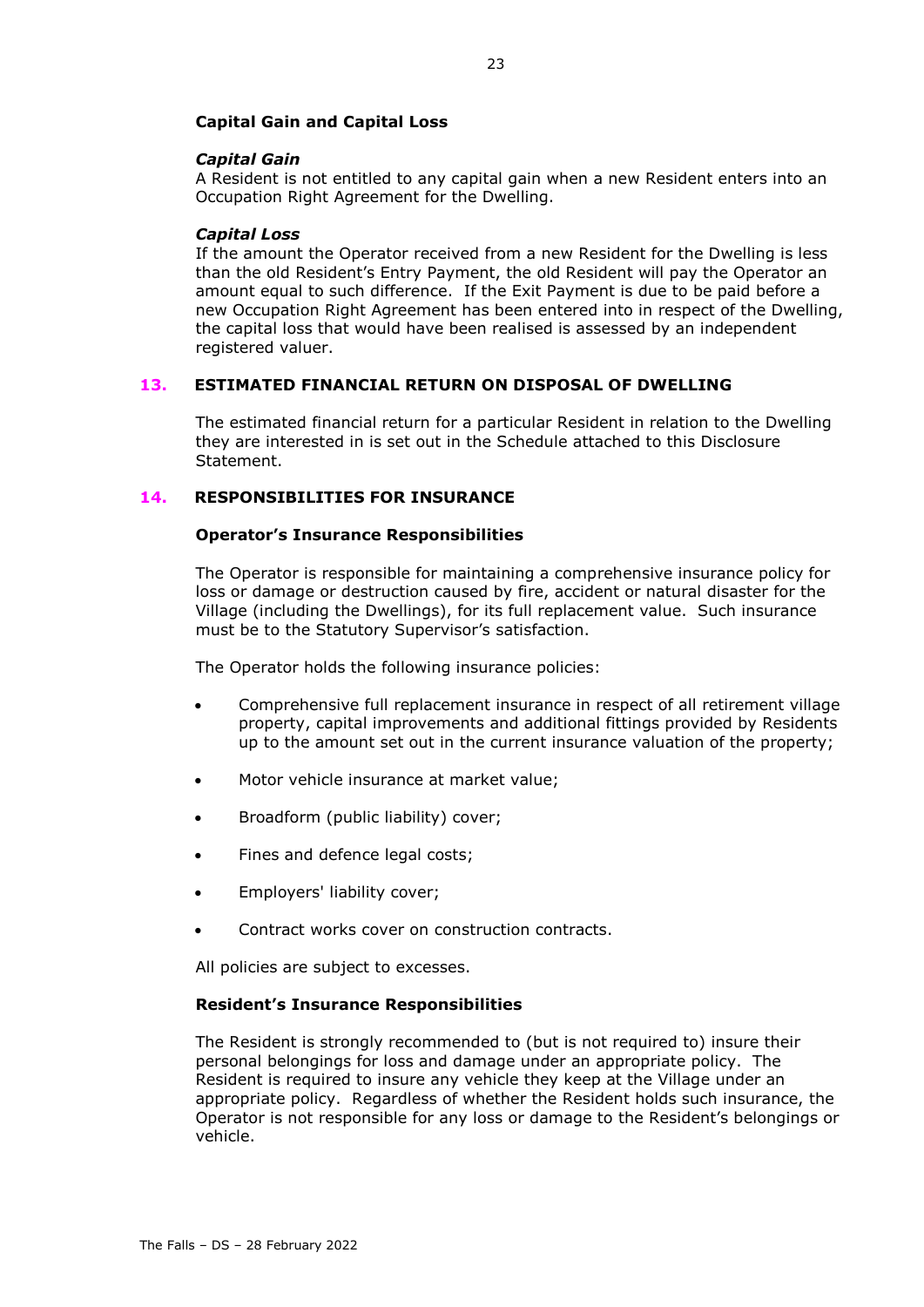# **Capital Gain and Capital Loss**

#### *Capital Gain*

A Resident is not entitled to any capital gain when a new Resident enters into an Occupation Right Agreement for the Dwelling.

#### *Capital Loss*

If the amount the Operator received from a new Resident for the Dwelling is less than the old Resident's Entry Payment, the old Resident will pay the Operator an amount equal to such difference. If the Exit Payment is due to be paid before a new Occupation Right Agreement has been entered into in respect of the Dwelling, the capital loss that would have been realised is assessed by an independent registered valuer.

# **13. ESTIMATED FINANCIAL RETURN ON DISPOSAL OF DWELLING**

The estimated financial return for a particular Resident in relation to the Dwelling they are interested in is set out in the Schedule attached to this Disclosure Statement.

# <span id="page-24-0"></span>**14. RESPONSIBILITIES FOR INSURANCE**

#### **Operator's Insurance Responsibilities**

The Operator is responsible for maintaining a comprehensive insurance policy for loss or damage or destruction caused by fire, accident or natural disaster for the Village (including the Dwellings), for its full replacement value. Such insurance must be to the Statutory Supervisor's satisfaction.

The Operator holds the following insurance policies:

- Comprehensive full replacement insurance in respect of all retirement village property, capital improvements and additional fittings provided by Residents up to the amount set out in the current insurance valuation of the property;
- Motor vehicle insurance at market value;
- Broadform (public liability) cover;
- Fines and defence legal costs;
- Employers' liability cover;
- Contract works cover on construction contracts.

All policies are subject to excesses.

#### **Resident's Insurance Responsibilities**

The Resident is strongly recommended to (but is not required to) insure their personal belongings for loss and damage under an appropriate policy. The Resident is required to insure any vehicle they keep at the Village under an appropriate policy. Regardless of whether the Resident holds such insurance, the Operator is not responsible for any loss or damage to the Resident's belongings or vehicle.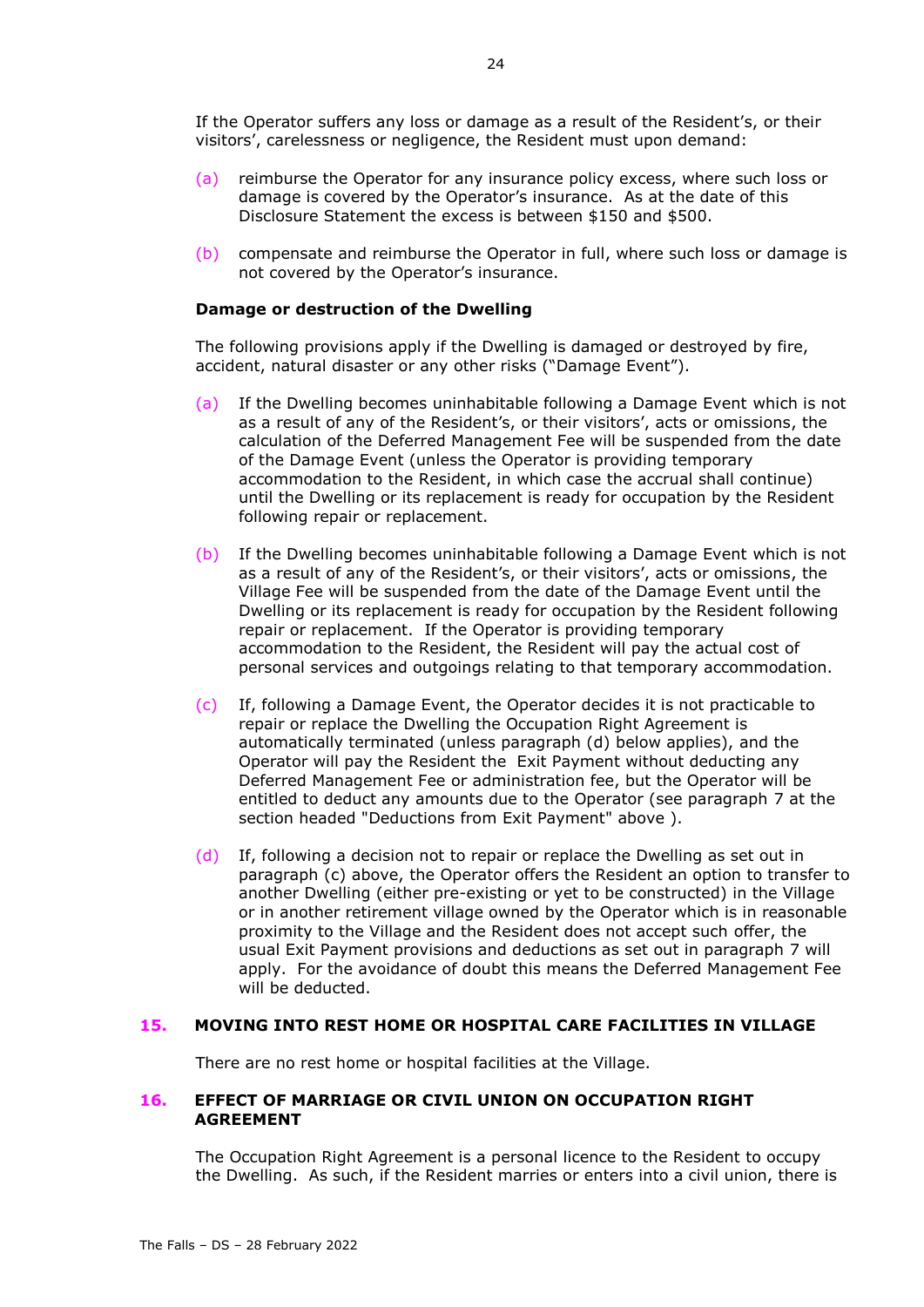If the Operator suffers any loss or damage as a result of the Resident's, or their visitors', carelessness or negligence, the Resident must upon demand:

- (a) reimburse the Operator for any insurance policy excess, where such loss or damage is covered by the Operator's insurance. As at the date of this Disclosure Statement the excess is between \$150 and \$500.
- (b) compensate and reimburse the Operator in full, where such loss or damage is not covered by the Operator's insurance.

#### **Damage or destruction of the Dwelling**

The following provisions apply if the Dwelling is damaged or destroyed by fire, accident, natural disaster or any other risks ("Damage Event").

- (a) If the Dwelling becomes uninhabitable following a Damage Event which is not as a result of any of the Resident's, or their visitors', acts or omissions, the calculation of the Deferred Management Fee will be suspended from the date of the Damage Event (unless the Operator is providing temporary accommodation to the Resident, in which case the accrual shall continue) until the Dwelling or its replacement is ready for occupation by the Resident following repair or replacement.
- (b) If the Dwelling becomes uninhabitable following a Damage Event which is not as a result of any of the Resident's, or their visitors', acts or omissions, the Village Fee will be suspended from the date of the Damage Event until the Dwelling or its replacement is ready for occupation by the Resident following repair or replacement. If the Operator is providing temporary accommodation to the Resident, the Resident will pay the actual cost of personal services and outgoings relating to that temporary accommodation.
- (c) If, following a Damage Event, the Operator decides it is not practicable to repair or replace the Dwelling the Occupation Right Agreement is automatically terminated (unless paragraph (d) below applies), and the Operator will pay the Resident the Exit Payment without deducting any Deferred Management Fee or administration fee, but the Operator will be entitled to deduct any amounts due to the Operator (see paragraph [7](#page-17-0) at the section headed "Deductions from Exit Payment" above ).
- (d) If, following a decision not to repair or replace the Dwelling as set out in paragraph (c) above, the Operator offers the Resident an option to transfer to another Dwelling (either pre-existing or yet to be constructed) in the Village or in another retirement village owned by the Operator which is in reasonable proximity to the Village and the Resident does not accept such offer, the usual Exit Payment provisions and deductions as set out in paragraph [7](#page-17-0) will apply. For the avoidance of doubt this means the Deferred Management Fee will be deducted.

# **15. MOVING INTO REST HOME OR HOSPITAL CARE FACILITIES IN VILLAGE**

There are no rest home or hospital facilities at the Village.

# **16. EFFECT OF MARRIAGE OR CIVIL UNION ON OCCUPATION RIGHT AGREEMENT**

The Occupation Right Agreement is a personal licence to the Resident to occupy the Dwelling. As such, if the Resident marries or enters into a civil union, there is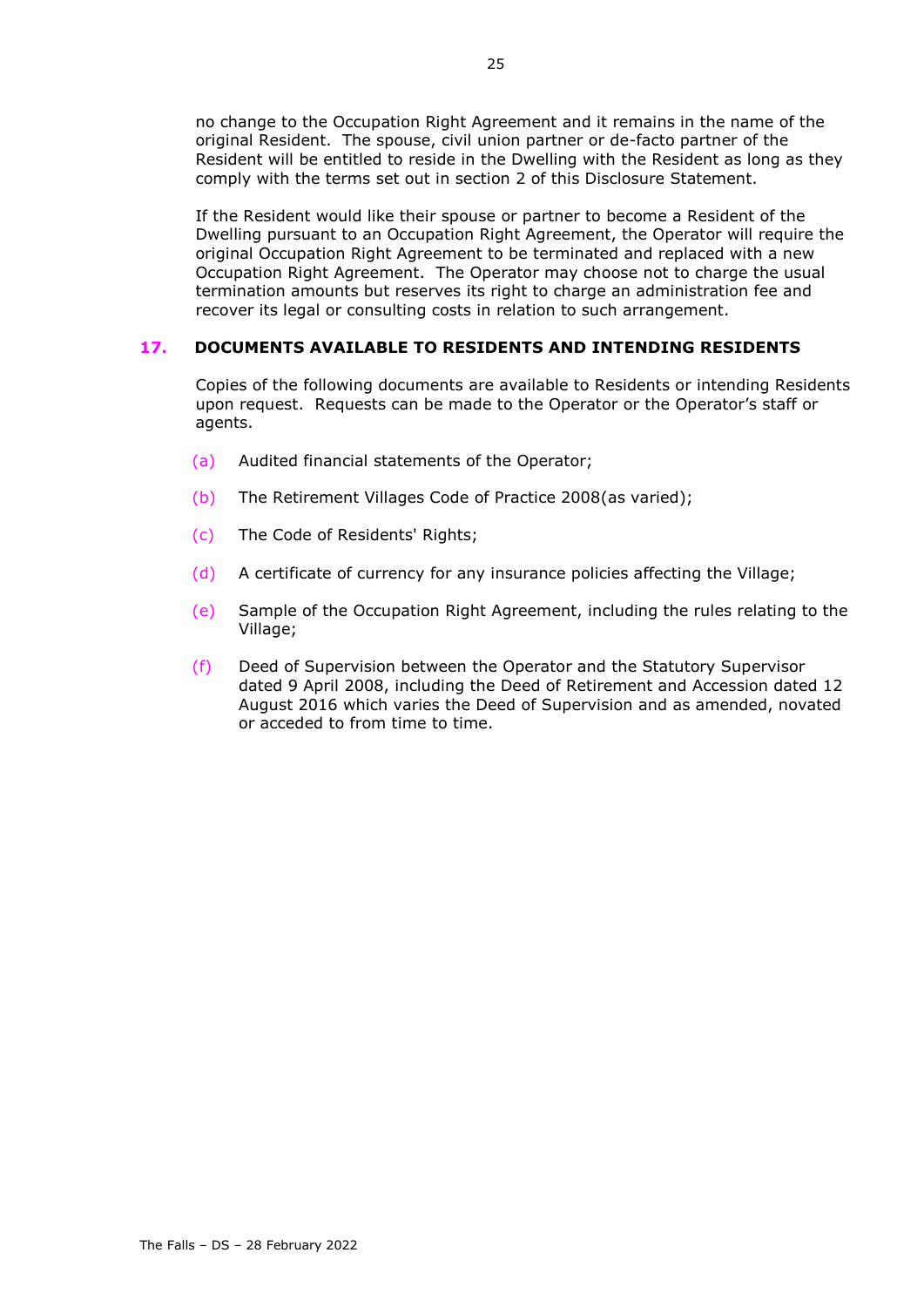no change to the Occupation Right Agreement and it remains in the name of the original Resident. The spouse, civil union partner or de-facto partner of the Resident will be entitled to reside in the Dwelling with the Resident as long as they comply with the terms set out in section 2 of this Disclosure Statement.

If the Resident would like their spouse or partner to become a Resident of the Dwelling pursuant to an Occupation Right Agreement, the Operator will require the original Occupation Right Agreement to be terminated and replaced with a new Occupation Right Agreement. The Operator may choose not to charge the usual termination amounts but reserves its right to charge an administration fee and recover its legal or consulting costs in relation to such arrangement.

# **17. DOCUMENTS AVAILABLE TO RESIDENTS AND INTENDING RESIDENTS**

Copies of the following documents are available to Residents or intending Residents upon request. Requests can be made to the Operator or the Operator's staff or agents.

- (a) Audited financial statements of the Operator;
- (b) The Retirement Villages Code of Practice 2008(as varied);
- (c) The Code of Residents' Rights;
- (d) A certificate of currency for any insurance policies affecting the Village;
- (e) Sample of the Occupation Right Agreement, including the rules relating to the Village;
- (f) Deed of Supervision between the Operator and the Statutory Supervisor dated 9 April 2008, including the Deed of Retirement and Accession dated 12 August 2016 which varies the Deed of Supervision and as amended, novated or acceded to from time to time.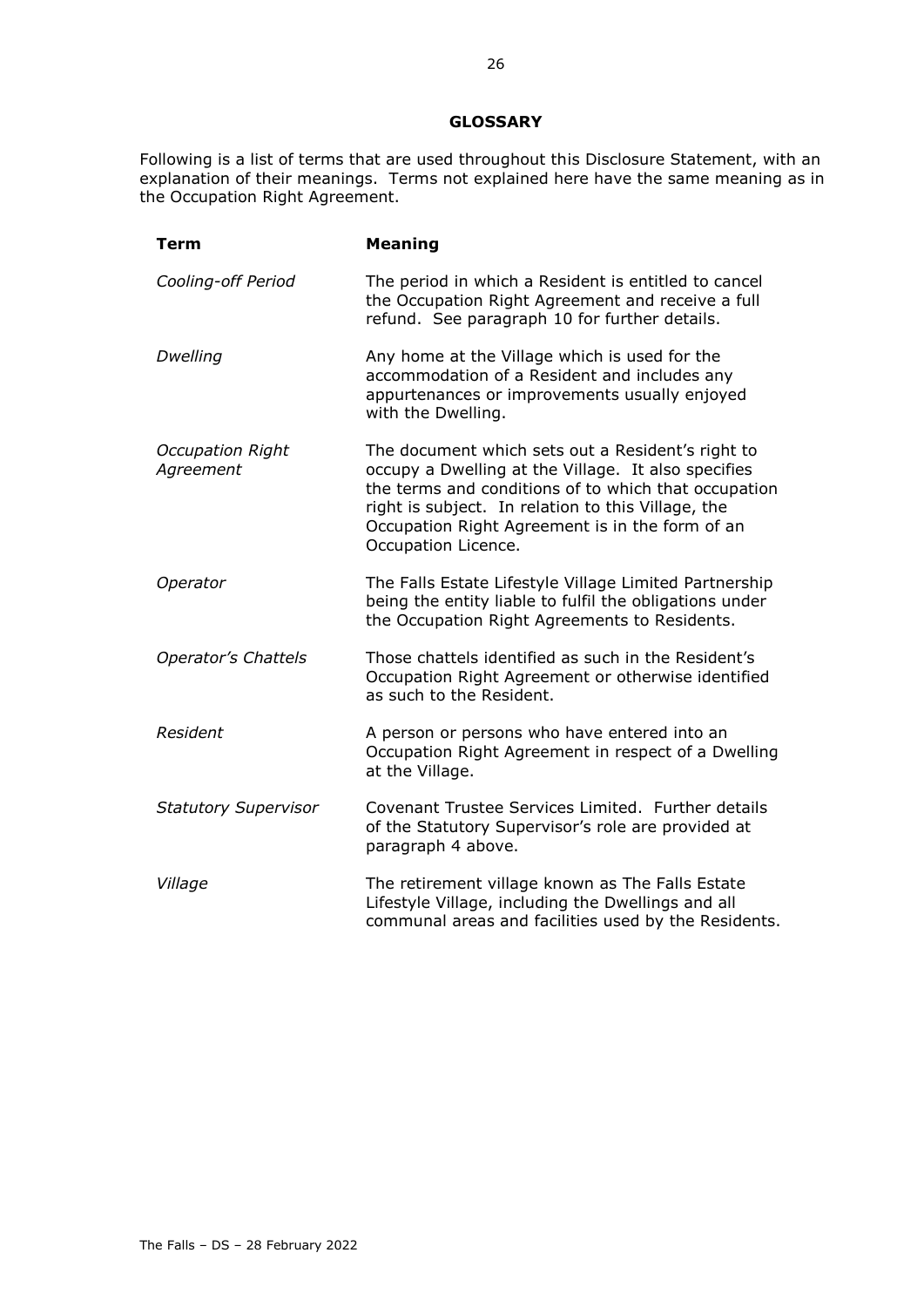#### **GLOSSARY**

<span id="page-27-0"></span>Following is a list of terms that are used throughout this Disclosure Statement, with an explanation of their meanings. Terms not explained here have the same meaning as in the Occupation Right Agreement.

| Term                                 | <b>Meaning</b>                                                                                                                                                                                                                                                                                   |
|--------------------------------------|--------------------------------------------------------------------------------------------------------------------------------------------------------------------------------------------------------------------------------------------------------------------------------------------------|
| Cooling-off Period                   | The period in which a Resident is entitled to cancel<br>the Occupation Right Agreement and receive a full<br>refund. See paragraph 10 for further details.                                                                                                                                       |
| Dwelling                             | Any home at the Village which is used for the<br>accommodation of a Resident and includes any<br>appurtenances or improvements usually enjoyed<br>with the Dwelling.                                                                                                                             |
| <b>Occupation Right</b><br>Agreement | The document which sets out a Resident's right to<br>occupy a Dwelling at the Village. It also specifies<br>the terms and conditions of to which that occupation<br>right is subject. In relation to this Village, the<br>Occupation Right Agreement is in the form of an<br>Occupation Licence. |
| Operator                             | The Falls Estate Lifestyle Village Limited Partnership<br>being the entity liable to fulfil the obligations under<br>the Occupation Right Agreements to Residents.                                                                                                                               |
| <b>Operator's Chattels</b>           | Those chattels identified as such in the Resident's<br>Occupation Right Agreement or otherwise identified<br>as such to the Resident.                                                                                                                                                            |
| Resident                             | A person or persons who have entered into an<br>Occupation Right Agreement in respect of a Dwelling<br>at the Village.                                                                                                                                                                           |
| <b>Statutory Supervisor</b>          | Covenant Trustee Services Limited. Further details<br>of the Statutory Supervisor's role are provided at<br>paragraph 4 above.                                                                                                                                                                   |
| Village                              | The retirement village known as The Falls Estate<br>Lifestyle Village, including the Dwellings and all<br>communal areas and facilities used by the Residents.                                                                                                                                   |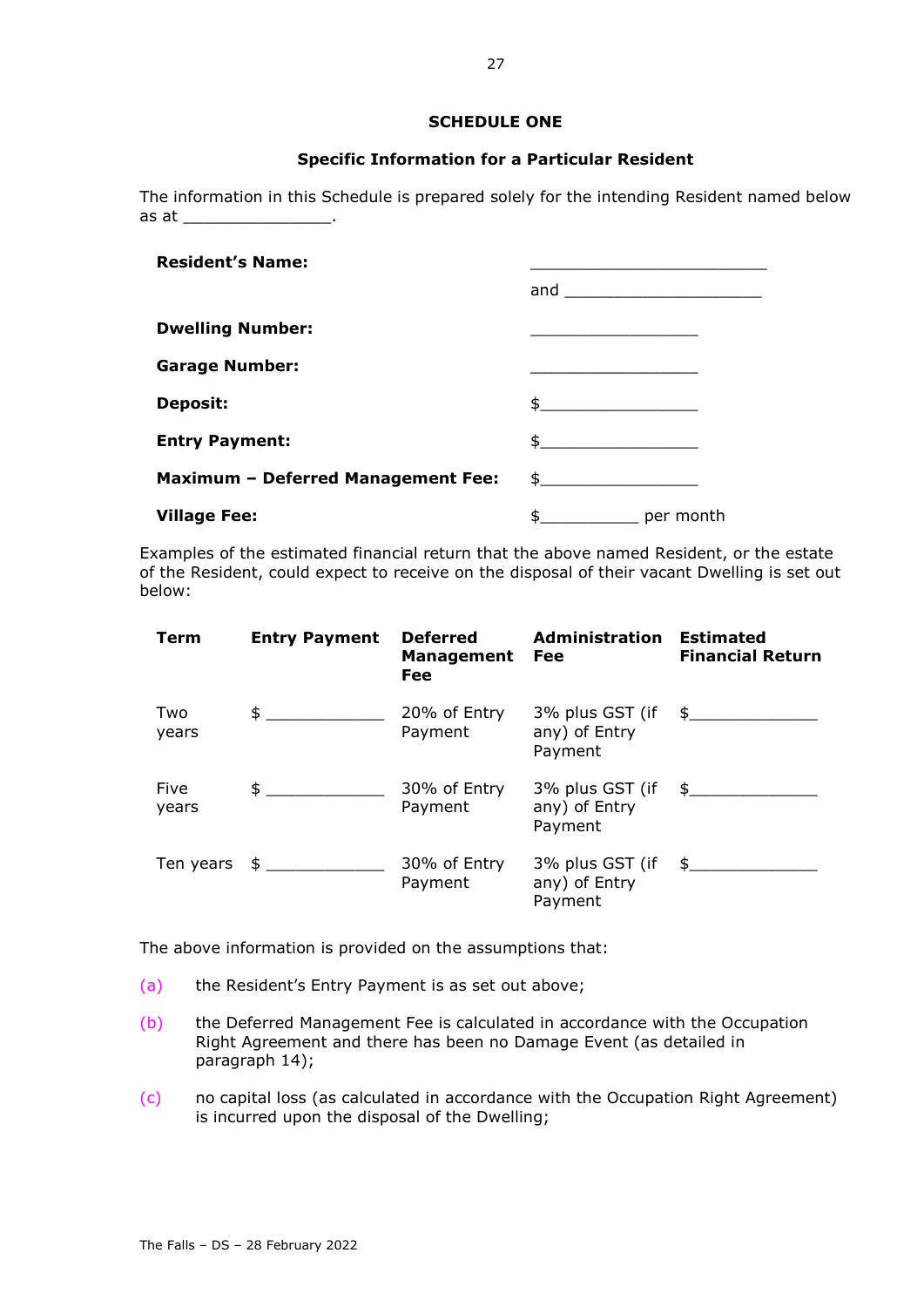# **SCHEDULE ONE**

# **Specific Information for a Particular Resident**

The information in this Schedule is prepared solely for the intending Resident named below as at \_\_\_\_\_\_\_\_\_\_\_\_\_\_\_\_\_\_.

| <b>Resident's Name:</b>                   |                         |
|-------------------------------------------|-------------------------|
|                                           |                         |
| <b>Dwelling Number:</b>                   |                         |
| <b>Garage Number:</b>                     |                         |
| <b>Deposit:</b>                           | $\frac{1}{2}$           |
| <b>Entry Payment:</b>                     | $\frac{1}{2}$           |
| <b>Maximum - Deferred Management Fee:</b> | $\updownarrow$          |
| <b>Village Fee:</b>                       | $\frac{1}{2}$ per month |

Examples of the estimated financial return that the above named Resident, or the estate of the Resident, could expect to receive on the disposal of their vacant Dwelling is set out below:

| Term          | <b>Entry Payment</b>             | <b>Deferred</b><br><b>Management</b><br><b>Fee</b> | <b>Administration</b><br>Fee                                       | <b>Estimated</b><br><b>Financial Return</b> |
|---------------|----------------------------------|----------------------------------------------------|--------------------------------------------------------------------|---------------------------------------------|
| Two<br>years  | $\frac{1}{2}$                    | 20% of Entry<br>Payment                            | $3\%$ plus GST (if $\quad \frac{1}{2}$<br>any) of Entry<br>Payment |                                             |
| Five<br>years | $\frac{1}{2}$                    | 30% of Entry<br>Payment                            | $3\%$ plus GST (if $\quad \frac{1}{2}$<br>any) of Entry<br>Payment |                                             |
|               | Ten years $\phi$ _______________ | 30% of Entry<br>Payment                            | 3% plus GST (if \$<br>any) of Entry<br>Payment                     |                                             |

The above information is provided on the assumptions that:

- (a) the Resident's Entry Payment is as set out above;
- (b) the Deferred Management Fee is calculated in accordance with the Occupation Right Agreement and there has been no Damage Event (as detailed in paragraph [14\)](#page-24-0);
- (c) no capital loss (as calculated in accordance with the Occupation Right Agreement) is incurred upon the disposal of the Dwelling;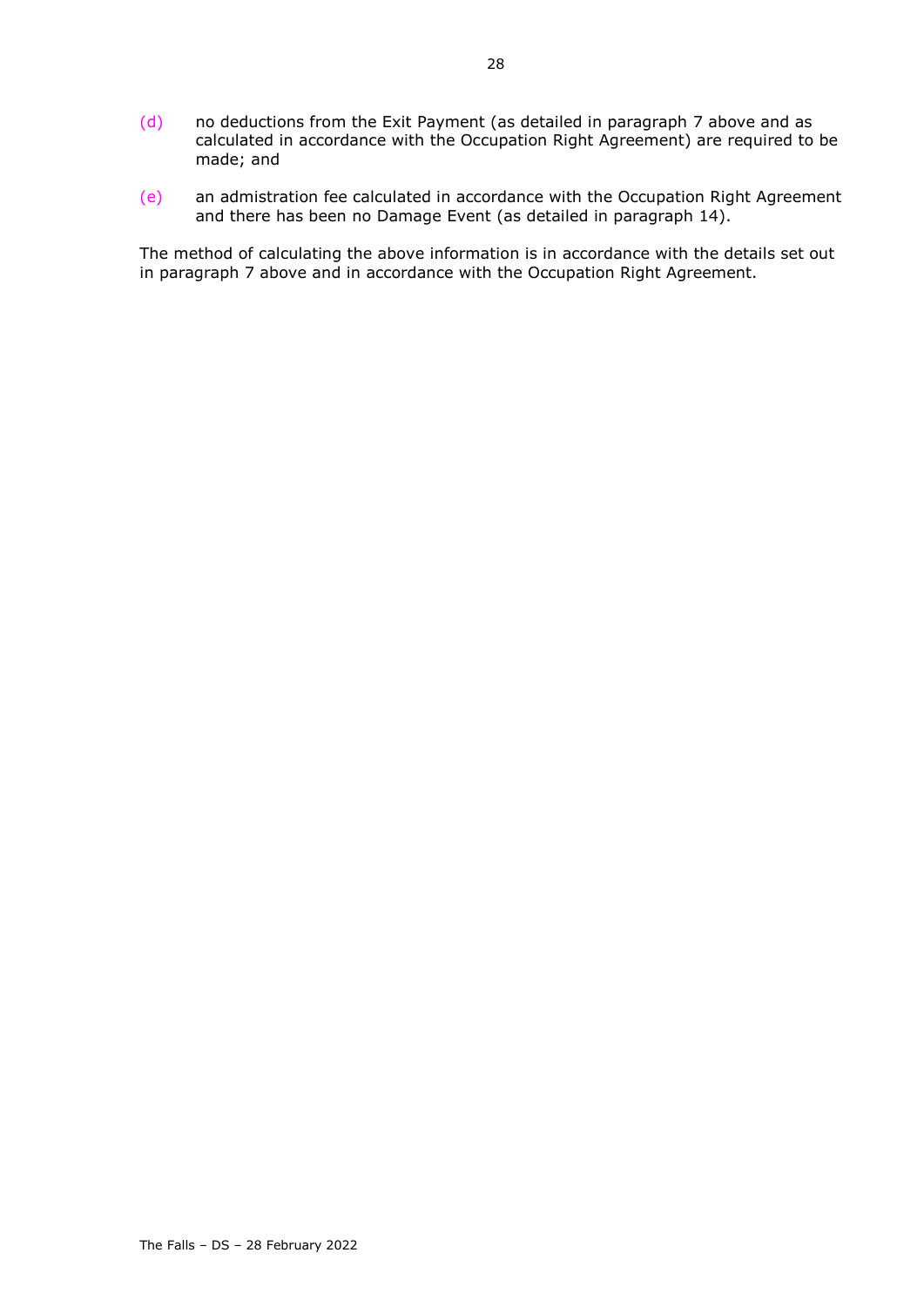- (d) no deductions from the Exit Payment (as detailed in paragraph [7](#page-17-0) above and as calculated in accordance with the Occupation Right Agreement) are required to be made; and
- (e) an admistration fee calculated in accordance with the Occupation Right Agreement and there has been no Damage Event (as detailed in paragraph [14\)](#page-24-0).

The method of calculating the above information is in accordance with the details set out in paragraph [7](#page-17-0) above and in accordance with the Occupation Right Agreement.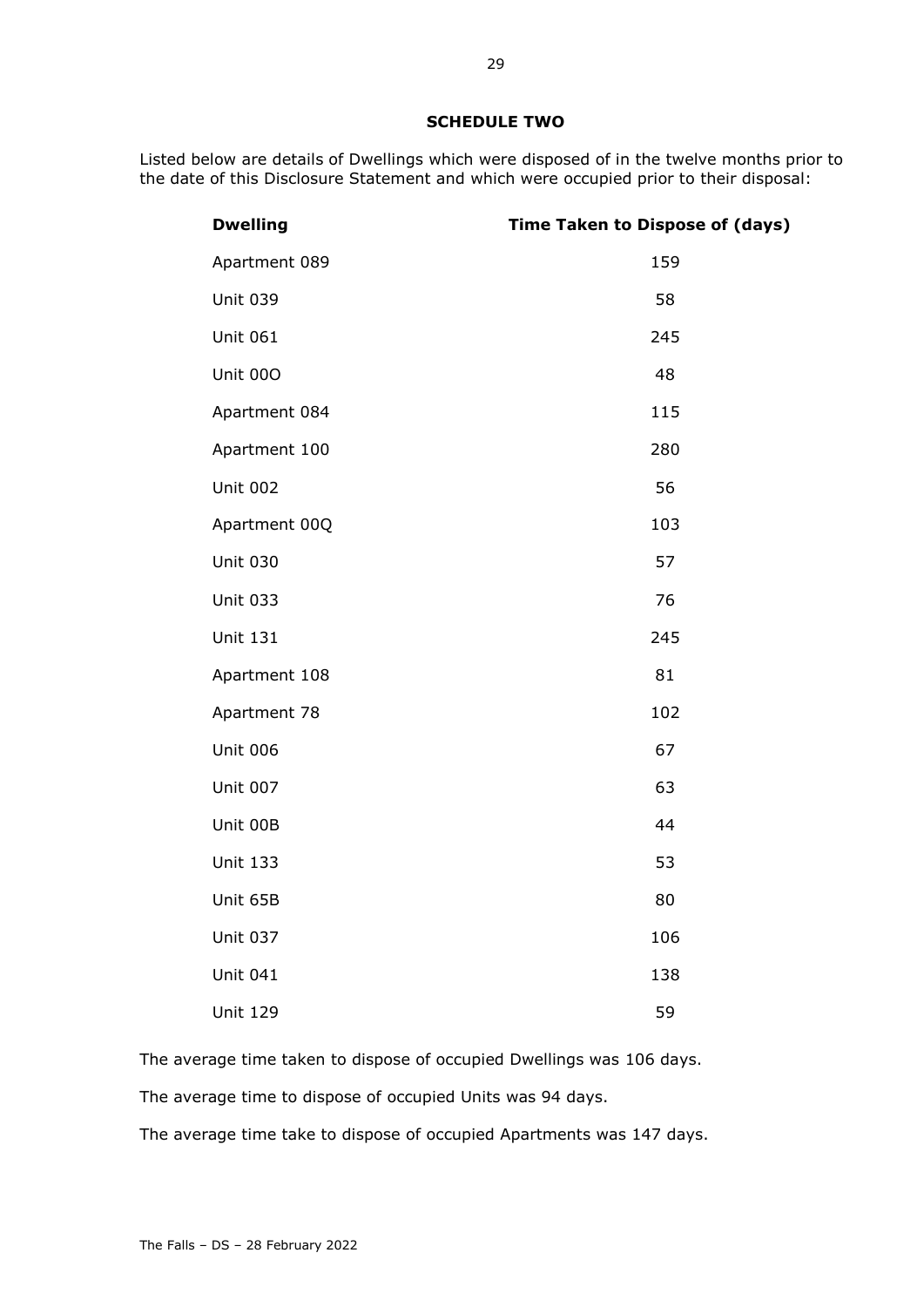# **SCHEDULE TWO**

Listed below are details of Dwellings which were disposed of in the twelve months prior to the date of this Disclosure Statement and which were occupied prior to their disposal:

| <b>Dwelling</b> | <b>Time Taken to Dispose of (days)</b> |
|-----------------|----------------------------------------|
| Apartment 089   | 159                                    |
| <b>Unit 039</b> | 58                                     |
| <b>Unit 061</b> | 245                                    |
| Unit 000        | 48                                     |
| Apartment 084   | 115                                    |
| Apartment 100   | 280                                    |
| <b>Unit 002</b> | 56                                     |
| Apartment 00Q   | 103                                    |
| <b>Unit 030</b> | 57                                     |
| <b>Unit 033</b> | 76                                     |
| <b>Unit 131</b> | 245                                    |
| Apartment 108   | 81                                     |
| Apartment 78    | 102                                    |
| <b>Unit 006</b> | 67                                     |
| <b>Unit 007</b> | 63                                     |
| Unit 00B        | 44                                     |
| <b>Unit 133</b> | 53                                     |
| Unit 65B        | 80                                     |
| <b>Unit 037</b> | 106                                    |
| <b>Unit 041</b> | 138                                    |
| <b>Unit 129</b> | 59                                     |

The average time taken to dispose of occupied Dwellings was 106 days. The average time to dispose of occupied Units was 94 days.

The average time take to dispose of occupied Apartments was 147 days.